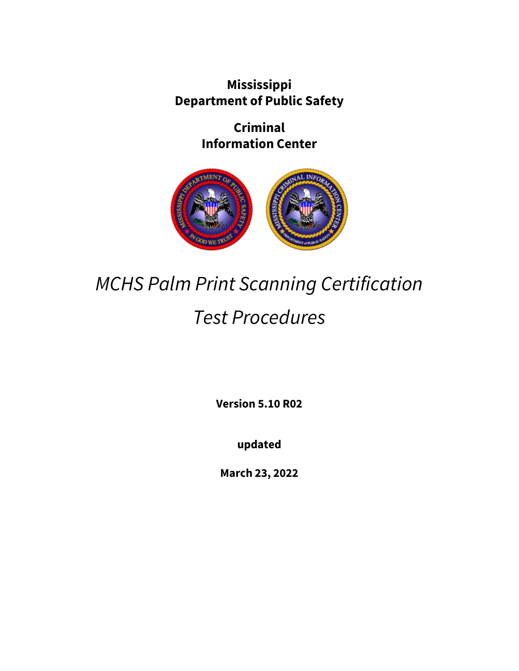**Mississippi Department of Public Safety**

> **Criminal Information Center**



# *MCHS Palm Print Scanning Certification Test Procedures*

**Version 5.10 R02**

**updated**

**March 23, 2022**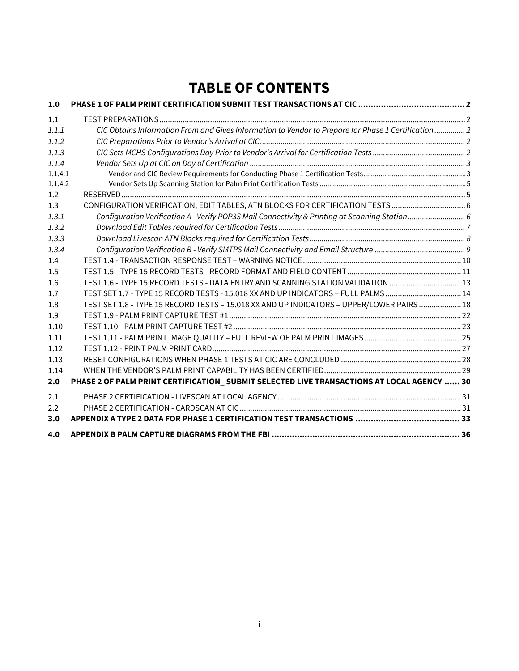# **TABLE OF CONTENTS**

| 1.0     |                                                                                                      |  |
|---------|------------------------------------------------------------------------------------------------------|--|
| 1.1     |                                                                                                      |  |
| 1.1.1   | CIC Obtains Information From and Gives Information to Vendor to Prepare for Phase 1 Certification  2 |  |
| 1.1.2   |                                                                                                      |  |
| 1.1.3   |                                                                                                      |  |
| 1.1.4   |                                                                                                      |  |
| 1.1.4.1 |                                                                                                      |  |
| 1.1.4.2 |                                                                                                      |  |
| 1.2     |                                                                                                      |  |
| 1.3     |                                                                                                      |  |
| 1.3.1   | Configuration Verification A - Verify POP3S Mail Connectivity & Printing at Scanning Station 6       |  |
| 1.3.2   |                                                                                                      |  |
| 1.3.3   |                                                                                                      |  |
| 1.3.4   |                                                                                                      |  |
| 1.4     |                                                                                                      |  |
| 1.5     |                                                                                                      |  |
| 1.6     | TEST 1.6 - TYPE 15 RECORD TESTS - DATA ENTRY AND SCANNING STATION VALIDATION 13                      |  |
| 1.7     | TEST SET 1.7 - TYPE 15 RECORD TESTS - 15.018 XX AND UP INDICATORS - FULL PALMS14                     |  |
| 1.8     | TEST SET 1.8 - TYPE 15 RECORD TESTS - 15.018 XX AND UP INDICATORS - UPPER/LOWER PAIRS  18            |  |
| 1.9     |                                                                                                      |  |
| 1.10    |                                                                                                      |  |
| 1.11    |                                                                                                      |  |
| 1.12    |                                                                                                      |  |
| 1.13    |                                                                                                      |  |
| 1.14    |                                                                                                      |  |
| 2.0     | PHASE 2 OF PALM PRINT CERTIFICATION_ SUBMIT SELECTED LIVE TRANSACTIONS AT LOCAL AGENCY  30           |  |
| 2.1     |                                                                                                      |  |
| 2.2     |                                                                                                      |  |
| 3.0     |                                                                                                      |  |
| 4.0     |                                                                                                      |  |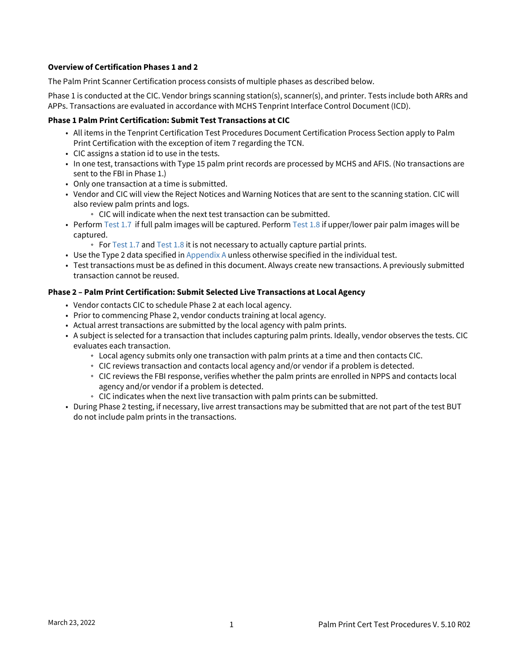#### **Overview of Certification Phases 1 and 2**

The Palm Print Scanner Certification process consists of multiple phases as described below.

Phase 1 is conducted at the CIC. Vendor brings scanning station(s), scanner(s), and printer. Tests include both ARRs and APPs. Transactions are evaluated in accordance with MCHS Tenprint Interface Control Document (ICD).

#### **Phase 1 Palm Print Certification: Submit Test Transactions at CIC**

- All items in the Tenprint Certification Test Procedures Document Certification Process Section apply to Palm Print Certification with the exception of item 7 regarding the TCN.
- CIC assigns a station id to use in the tests.
- In one test, transactions with Type 15 palm print records are processed by MCHS and AFIS. (No transactions are sent to the FBI in Phase 1.)
- Only one transaction at a time is submitted.
- Vendor and CIC will view the Reject Notices and Warning Notices that are sent to the scanning station. CIC will also review palm prints and logs.
	- CIC will indicate when the next test transaction can be submitted.
- Perform [Test 1.7](#page-3-0) if full palm images will be captured. Perform [Test 1.8](#page-3-0) if upper/lower pair palm images will be captured.
	- For [Test 1.7](#page-3-0) and [Test 1.8](#page-3-0) it is not necessary to actually capture partial prints.
- Use the Type 2 data specified in [Appendix A](#page-34-0) unless otherwise specified in the individual test.
- Test transactions must be as defined in this document. Always create new transactions. A previously submitted transaction cannot be reused.

#### **Phase 2 – Palm Print Certification: Submit Selected Live Transactions at Local Agency**

- Vendor contacts CIC to schedule Phase 2 at each local agency.
- Prior to commencing Phase 2, vendor conducts training at local agency.
- Actual arrest transactions are submitted by the local agency with palm prints.
- A subject is selected for a transaction that includes capturing palm prints. Ideally, vendor observes the tests. CIC evaluates each transaction.
	- Local agency submits only one transaction with palm prints at a time and then contacts CIC.
	- CIC reviews transaction and contacts local agency and/or vendor if a problem is detected.
	- CIC reviews the FBI response, verifies whether the palm prints are enrolled in NPPS and contacts local agency and/or vendor if a problem is detected.
	- CIC indicates when the next live transaction with palm prints can be submitted.
- During Phase 2 testing, if necessary, live arrest transactions may be submitted that are not part of the test BUT do not include palm prints in the transactions.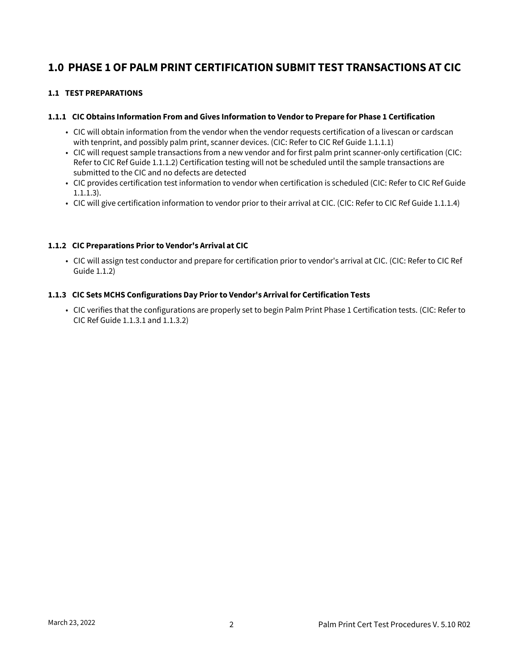## <span id="page-3-0"></span>**1.0 PHASE 1 OF PALM PRINT CERTIFICATION SUBMIT TEST TRANSACTIONS AT CIC**

#### <span id="page-3-1"></span>**1.1 TEST PREPARATIONS**

#### <span id="page-3-2"></span>**1.1.1 CIC Obtains Information From and Gives Information to Vendor to Prepare for Phase 1 Certification**

- CIC will obtain information from the vendor when the vendor requests certification of a livescan or cardscan with tenprint, and possibly palm print, scanner devices. (CIC: Refer to CIC Ref Guide 1.1.1.1)
- CIC will request sample transactions from a new vendor and for first palm print scanner-only certification (CIC: Refer to CIC Ref Guide 1.1.1.2) Certification testing will not be scheduled until the sample transactions are submitted to the CIC and no defects are detected
- CIC provides certification test information to vendor when certification is scheduled (CIC: Refer to CIC Ref Guide 1.1.1.3).
- CIC will give certification information to vendor prior to their arrival at CIC. (CIC: Refer to CIC Ref Guide 1.1.1.4)

#### <span id="page-3-3"></span>**1.1.2 CIC Preparations Prior to Vendor's Arrival at CIC**

• CIC will assign test conductor and prepare for certification prior to vendor's arrival at CIC. (CIC: Refer to CIC Ref Guide 1.1.2)

#### <span id="page-3-4"></span>**1.1.3 CIC Sets MCHS Configurations Day Prior to Vendor's Arrival for Certification Tests**

• CIC verifies that the configurations are properly set to begin Palm Print Phase 1 Certification tests. (CIC: Refer to CIC Ref Guide 1.1.3.1 and 1.1.3.2)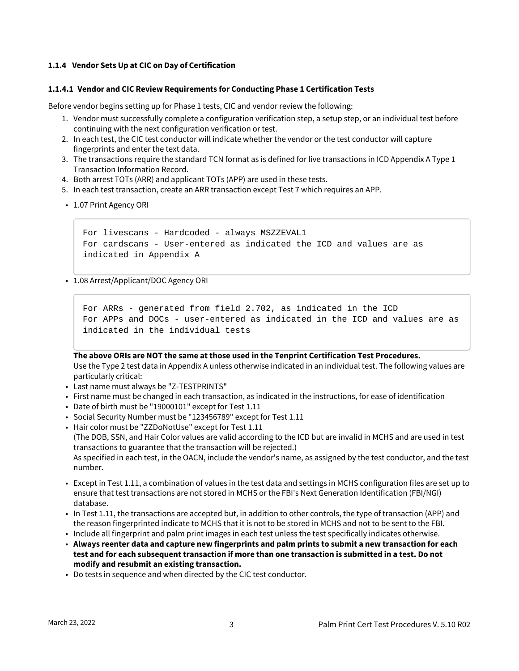#### <span id="page-4-0"></span>**1.1.4 Vendor Sets Up at CIC on Day of Certification**

#### <span id="page-4-1"></span>**1.1.4.1 Vendor and CIC Review Requirements for Conducting Phase 1 Certification Tests**

Before vendor begins setting up for Phase 1 tests, CIC and vendor review the following:

- 1. Vendor must successfully complete a configuration verification step, a setup step, or an individual test before continuing with the next configuration verification or test.
- 2. In each test, the CIC test conductor will indicate whether the vendor or the test conductor will capture fingerprints and enter the text data.
- 3. The transactions require the standard TCN format as is defined for live transactions in ICD Appendix A Type 1 Transaction Information Record.
- 4. Both arrest TOTs (ARR) and applicant TOTs (APP) are used in these tests.
- 5. In each test transaction, create an ARR transaction except Test 7 which requires an APP.
- 1.07 Print Agency ORI

```
For livescans - Hardcoded - always MSZZEVAL1
For cardscans - User-entered as indicated the ICD and values are as 
indicated in Appendix A
```
• 1.08 Arrest/Applicant/DOC Agency ORI

```
For ARRs - generated from field 2.702, as indicated in the ICD
For APPs and DOCs - user-entered as indicated in the ICD and values are as 
indicated in the individual tests
```
**The above ORIs are NOT the same at those used in the Tenprint Certification Test Procedures.** Use the Type 2 test data in Appendix A unless otherwise indicated in an individual test. The following values are particularly critical:

- Last name must always be "Z-TESTPRINTS"
- First name must be changed in each transaction, as indicated in the instructions, for ease of identification
- Date of birth must be "19000101" except for Test 1.11
- Social Security Number must be "123456789" except for Test 1.11
- Hair color must be "ZZDoNotUse" except for Test 1.11 (The DOB, SSN, and Hair Color values are valid according to the ICD but are invalid in MCHS and are used in test transactions to guarantee that the transaction will be rejected.) As specified in each test, in the OACN, include the vendor's name, as assigned by the test conductor, and the test number.
- Except in Test 1.11, a combination of values in the test data and settings in MCHS configuration files are set up to ensure that test transactions are not stored in MCHS or the FBI's Next Generation Identification (FBI/NGI) database.
- In Test 1.11, the transactions are accepted but, in addition to other controls, the type of transaction (APP) and the reason fingerprinted indicate to MCHS that it is not to be stored in MCHS and not to be sent to the FBI.
- Include all fingerprint and palm print images in each test unless the test specifically indicates otherwise.
- **Always reenter data and capture new fingerprints and palm prints to submit a new transaction for each test and for each subsequent transaction if more than one transaction is submitted in a test. Do not modify and resubmit an existing transaction.**
- Do tests in sequence and when directed by the CIC test conductor.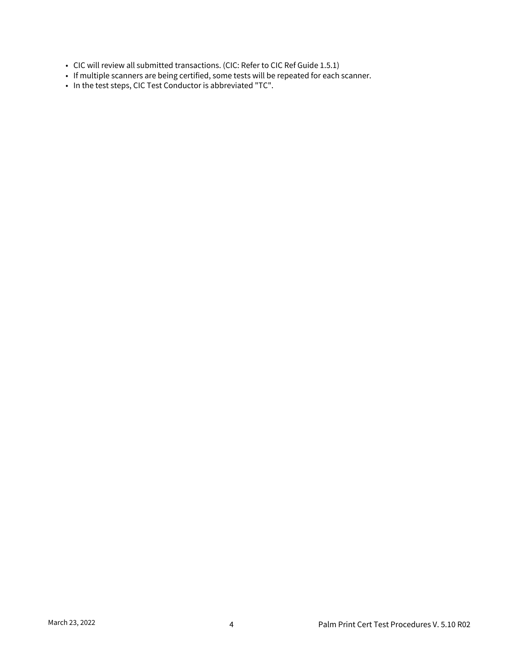- CIC will review all submitted transactions. (CIC: Refer to CIC Ref Guide 1.5.1)
- If multiple scanners are being certified, some tests will be repeated for each scanner.
- In the test steps, CIC Test Conductor is abbreviated "TC".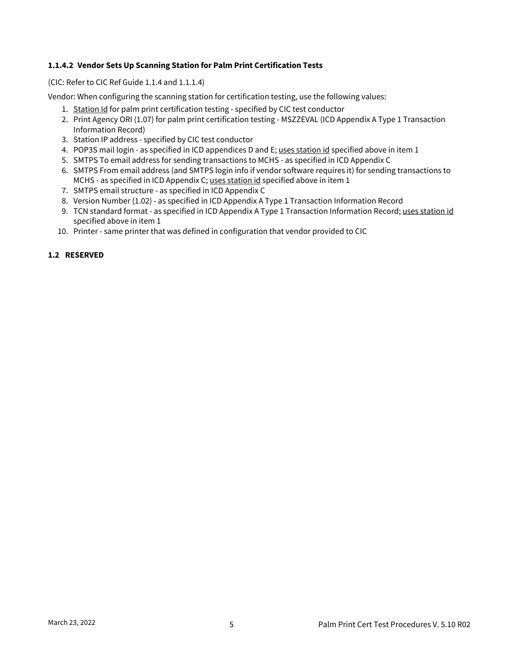#### <span id="page-6-0"></span>**1.1.4.2 Vendor Sets Up Scanning Station for Palm Print Certification Tests**

#### (CIC: Refer to CIC Ref Guide 1.1.4 and 1.1.1.4)

Vendor: When configuring the scanning station for certification testing, use the following values:

- 1. Station Id for palm print certification testing specified by CIC test conductor
- 2. Print Agency ORI (1.07) for palm print certification testing MSZZEVAL (ICD Appendix A Type 1 Transaction Information Record)
- 3. Station IP address specified by CIC test conductor
- 4. POP3S mail login as specified in ICD appendices D and E; uses station id specified above in item 1
- 5. SMTPS To email address for sending transactions to MCHS as specified in ICD Appendix C
- 6. SMTPS From email address (and SMTPS login info if vendor software requires it) for sending transactions to MCHS - as specified in ICD Appendix C; uses station id specified above in item 1
- 7. SMTPS email structure as specified in ICD Appendix C
- 8. Version Number (1.02) as specified in ICD Appendix A Type 1 Transaction Information Record
- 9. TCN standard format as specified in ICD Appendix A Type 1 Transaction Information Record; <u>uses station id</u> specified above in item 1
- 10. Printer same printer that was defined in configuration that vendor provided to CIC

#### <span id="page-6-1"></span>**1.2 RESERVED**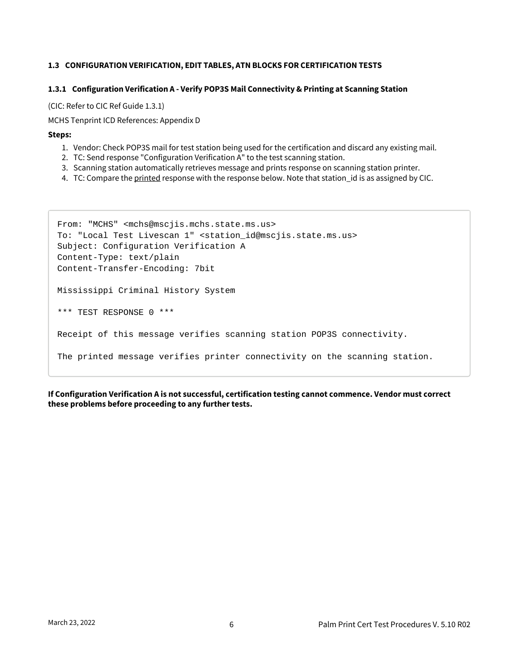#### <span id="page-7-0"></span>**1.3 CONFIGURATION VERIFICATION, EDIT TABLES, ATN BLOCKS FOR CERTIFICATION TESTS**

#### <span id="page-7-1"></span>**1.3.1 Configuration Verification A - Verify POP3S Mail Connectivity & Printing at Scanning Station**

(CIC: Refer to CIC Ref Guide 1.3.1)

MCHS Tenprint ICD References: Appendix D

#### **Steps:**

- 1. Vendor: Check POP3S mail for test station being used for the certification and discard any existing mail.
- 2. TC: Send response "Configuration Verification A" to the test scanning station.
- 3. Scanning station automatically retrieves message and prints response on scanning station printer.
- 4. TC: Compare the <u>printed</u> response with the response below. Note that station\_id is as assigned by CIC.

```
From: "MCHS" <mchs@mscjis.mchs.state.ms.us>
To: "Local Test Livescan 1" <station_id@mscjis.state.ms.us>
Subject: Configuration Verification A
Content-Type: text/plain
Content-Transfer-Encoding: 7bit
Mississippi Criminal History System
*** TEST RESPONSE 0 ***
Receipt of this message verifies scanning station POP3S connectivity.
The printed message verifies printer connectivity on the scanning station.
```
**If Configuration Verification A is not successful, certification testing cannot commence. Vendor must correct these problems before proceeding to any further tests.**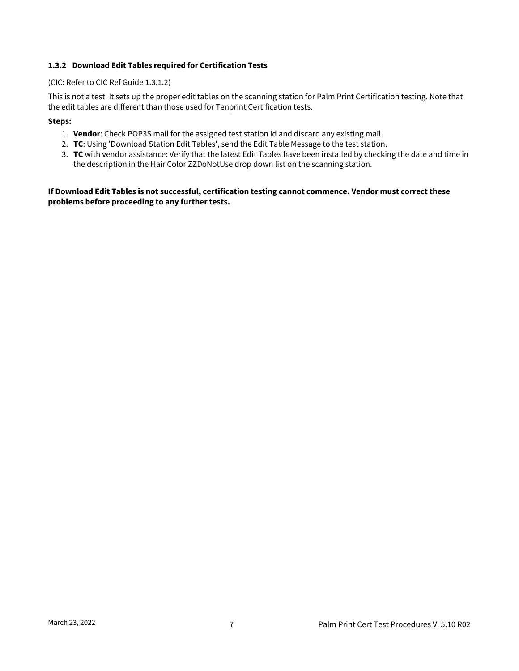#### <span id="page-8-0"></span>**1.3.2 Download Edit Tables required for Certification Tests**

#### (CIC: Refer to CIC Ref Guide 1.3.1.2)

This is not a test. It sets up the proper edit tables on the scanning station for Palm Print Certification testing. Note that the edit tables are different than those used for Tenprint Certification tests.

#### **Steps:**

- 1. **Vendor**: Check POP3S mail for the assigned test station id and discard any existing mail.
- 2. **TC**: Using 'Download Station Edit Tables', send the Edit Table Message to the test station.
- 3. **TC** with vendor assistance: Verify that the latest Edit Tables have been installed by checking the date and time in the description in the Hair Color ZZDoNotUse drop down list on the scanning station.

**If Download Edit Tables is not successful, certification testing cannot commence. Vendor must correct these problems before proceeding to any further tests.**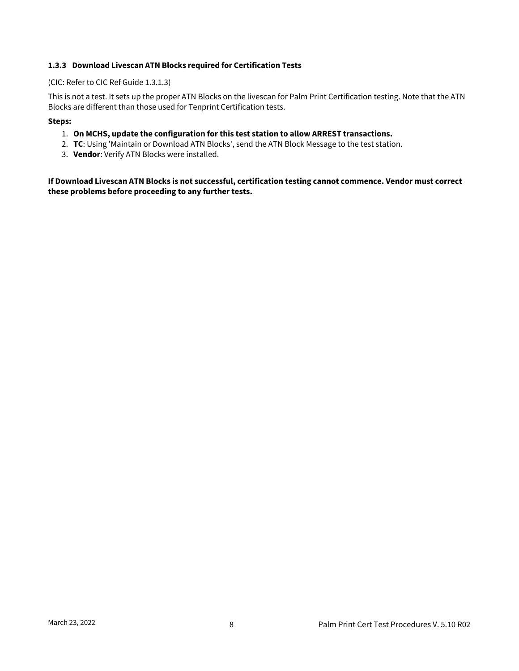#### <span id="page-9-0"></span>**1.3.3 Download Livescan ATN Blocks required for Certification Tests**

#### (CIC: Refer to CIC Ref Guide 1.3.1.3)

This is not a test. It sets up the proper ATN Blocks on the livescan for Palm Print Certification testing. Note that the ATN Blocks are different than those used for Tenprint Certification tests.

#### **Steps:**

- 1. **On MCHS, update the configuration for this test station to allow ARREST transactions.**
- 2. **TC**: Using 'Maintain or Download ATN Blocks', send the ATN Block Message to the test station.
- 3. **Vendor**: Verify ATN Blocks were installed.

**If Download Livescan ATN Blocks is not successful, certification testing cannot commence. Vendor must correct these problems before proceeding to any further tests.**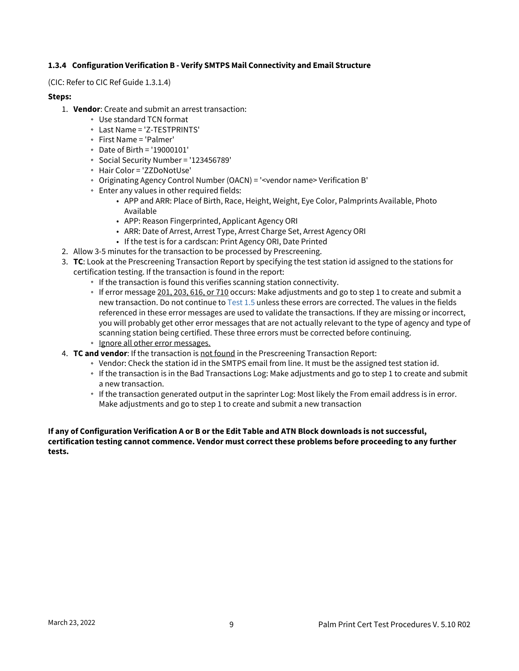#### <span id="page-10-0"></span>**1.3.4 Configuration Verification B - Verify SMTPS Mail Connectivity and Email Structure**

(CIC: Refer to CIC Ref Guide 1.3.1.4)

#### **Steps:**

- 1. **Vendor**: Create and submit an arrest transaction:
	- Use standard TCN format
		- Last Name = 'Z-TESTPRINTS'
		- First Name = 'Palmer'
		- Date of Birth = '19000101'
		- Social Security Number = '123456789'
		- Hair Color = 'ZZDoNotUse'
		- Originating Agency Control Number (OACN) = '<vendor name> Verification B'
	- Enter any values in other required fields:
		- APP and ARR: Place of Birth, Race, Height, Weight, Eye Color, Palmprints Available, Photo Available
		- APP: Reason Fingerprinted, Applicant Agency ORI
		- ARR: Date of Arrest, Arrest Type, Arrest Charge Set, Arrest Agency ORI
		- If the test is for a cardscan: Print Agency ORI, Date Printed
- 2. Allow 3-5 minutes for the transaction to be processed by Prescreening.
- 3. **TC**: Look at the Prescreening Transaction Report by specifying the test station id assigned to the stations for certification testing. If the transaction is found in the report:
	- If the transaction is found this verifies scanning station connectivity.
	- $\cdot$  If error message 201, 203, 616, or 710 occurs: Make adjustments and go to step 1 to create and submit a new transaction. Do not continue to [Test 1.5](#page-12-1) unless these errors are corrected. The values in the fields referenced in these error messages are used to validate the transactions. If they are missing or incorrect, you will probably get other error messages that are not actually relevant to the type of agency and type of scanning station being certified. These three errors must be corrected before continuing.
	- **Ignore all other error messages.**
- 4. **TC and vendor**: If the transaction is not found in the Prescreening Transaction Report:
	- Vendor: Check the station id in the SMTPS email from line. It must be the assigned test station id.
	- If the transaction is in the Bad Transactions Log: Make adjustments and go to step 1 to create and submit a new transaction.
	- If the transaction generated output in the saprinter Log: Most likely the From email address is in error. Make adjustments and go to step 1 to create and submit a new transaction

#### **If any of Configuration Verification A or B or the Edit Table and ATN Block downloads is not successful, certification testing cannot commence. Vendor must correct these problems before proceeding to any further tests.**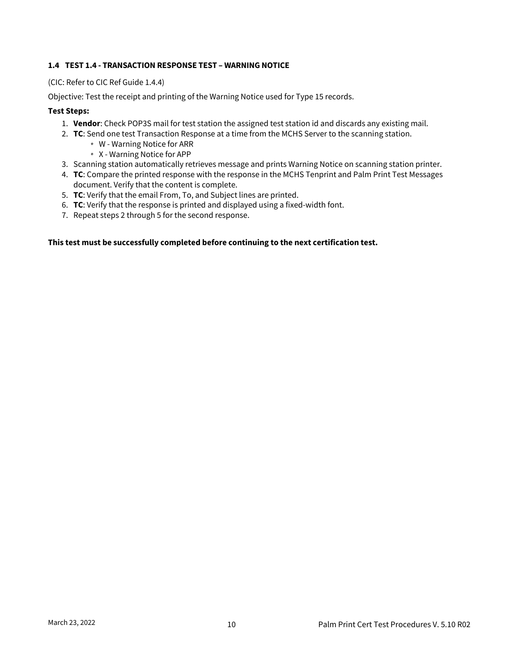#### <span id="page-11-0"></span>**1.4 TEST 1.4 - TRANSACTION RESPONSE TEST – WARNING NOTICE**

(CIC: Refer to CIC Ref Guide 1.4.4)

Objective: Test the receipt and printing of the Warning Notice used for Type 15 records.

#### **Test Steps:**

- 1. **Vendor**: Check POP3S mail for test station the assigned test station id and discards any existing mail.
- 2. **TC**: Send one test Transaction Response at a time from the MCHS Server to the scanning station.
	- W Warning Notice for ARR
	- X Warning Notice for APP
- 3. Scanning station automatically retrieves message and prints Warning Notice on scanning station printer.
- 4. **TC**: Compare the printed response with the response in the MCHS Tenprint and Palm Print Test Messages document. Verify that the content is complete.
- 5. **TC**: Verify that the email From, To, and Subject lines are printed.
- 6. **TC**: Verify that the response is printed and displayed using a fixed-width font.
- 7. Repeat steps 2 through 5 for the second response.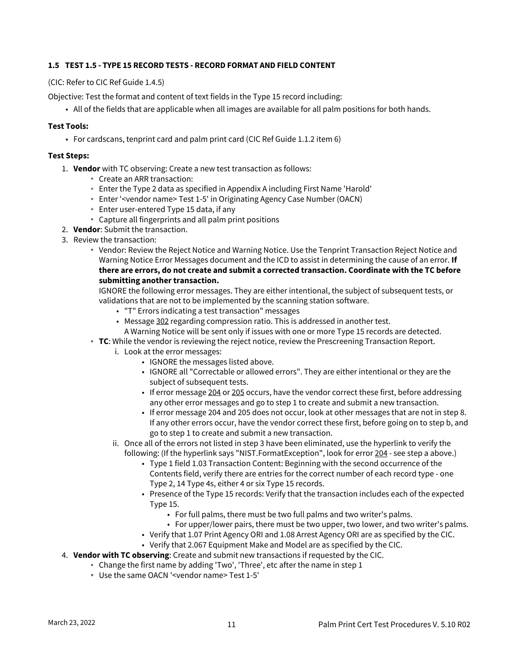#### <span id="page-12-1"></span><span id="page-12-0"></span>**1.5 TEST 1.5 - TYPE 15 RECORD TESTS - RECORD FORMAT AND FIELD CONTENT**

(CIC: Refer to CIC Ref Guide 1.4.5)

Objective: Test the format and content of text fields in the Type 15 record including:

• All of the fields that are applicable when all images are available for all palm positions for both hands.

#### **Test Tools:**

• For cardscans, tenprint card and palm print card (CIC Ref Guide 1.1.2 item 6)

#### **Test Steps:**

- 1. **Vendor** with TC observing: Create a new test transaction as follows:
	- Create an ARR transaction:
	- Enter the Type 2 data as specified in Appendix A including First Name 'Harold'
	- Enter '<vendor name> Test 1-5' in Originating Agency Case Number (OACN)
	- Enter user-entered Type 15 data, if any
	- Capture all fingerprints and all palm print positions
- 2. **Vendor**: Submit the transaction.
- 3. Review the transaction:
	- Vendor: Review the Reject Notice and Warning Notice. Use the Tenprint Transaction Reject Notice and Warning Notice Error Messages document and the ICD to assist in determining the cause of an error. **If there are errors, do not create and submit a corrected transaction. Coordinate with the TC before submitting another transaction.**

IGNORE the following error messages. They are either intentional, the subject of subsequent tests, or validations that are not to be implemented by the scanning station software.

- "T" Errors indicating a test transaction" messages
- Message 302 regarding compression ratio. This is addressed in another test.
- A Warning Notice will be sent only if issues with one or more Type 15 records are detected.
- **TC**: While the vendor is reviewing the reject notice, review the Prescreening Transaction Report.
	- i. Look at the error messages:
		- IGNORE the messages listed above.
		- IGNORE all "Correctable or allowed errors". They are either intentional or they are the subject of subsequent tests.
		- If error message 204 or 205 occurs, have the vendor correct these first, before addressing any other error messages and go to step 1 to create and submit a new transaction.
		- If error message 204 and 205 does not occur, look at other messages that are not in step 8. If any other errors occur, have the vendor correct these first, before going on to step b, and go to step 1 to create and submit a new transaction.
	- ii. Once all of the errors not listed in step 3 have been eliminated, use the hyperlink to verify the following: (If the hyperlink says "NIST.FormatException", look for error 204 - see step a above.)
		- Type 1 field 1.03 Transaction Content: Beginning with the second occurrence of the Contents field, verify there are entries for the correct number of each record type - one Type 2, 14 Type 4s, either 4 or six Type 15 records.
		- Presence of the Type 15 records: Verify that the transaction includes each of the expected Type 15.
			- For full palms, there must be two full palms and two writer's palms.
			- For upper/lower pairs, there must be two upper, two lower, and two writer's palms.
		- Verify that 1.07 Print Agency ORI and 1.08 Arrest Agency ORI are as specified by the CIC.
		- Verify that 2.067 Equipment Make and Model are as specified by the CIC.
- 4. **Vendor with TC observing**: Create and submit new transactions if requested by the CIC.
	- Change the first name by adding 'Two', 'Three', etc after the name in step 1
	- Use the same OACN '<vendor name> Test 1-5'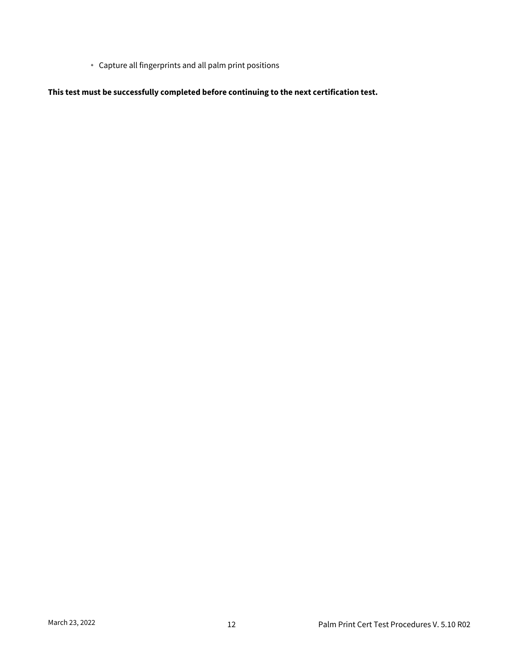Capture all fingerprints and all palm print positions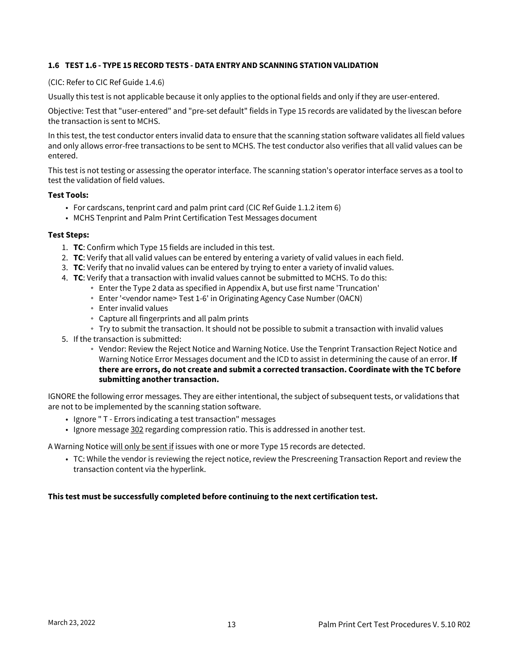#### <span id="page-14-0"></span>**1.6 TEST 1.6 - TYPE 15 RECORD TESTS - DATA ENTRY AND SCANNING STATION VALIDATION**

#### (CIC: Refer to CIC Ref Guide 1.4.6)

Usually this test is not applicable because it only applies to the optional fields and only if they are user-entered.

Objective: Test that "user-entered" and "pre-set default" fields in Type 15 records are validated by the livescan before the transaction is sent to MCHS.

In this test, the test conductor enters invalid data to ensure that the scanning station software validates all field values and only allows error-free transactions to be sent to MCHS. The test conductor also verifies that all valid values can be entered.

This test is not testing or assessing the operator interface. The scanning station's operator interface serves as a tool to test the validation of field values.

#### **Test Tools:**

- For cardscans, tenprint card and palm print card (CIC Ref Guide 1.1.2 item 6)
- MCHS Tenprint and Palm Print Certification Test Messages document

#### **Test Steps:**

- 1. **TC**: Confirm which Type 15 fields are included in this test.
- 2. **TC**: Verify that all valid values can be entered by entering a variety of valid values in each field.
- 3. **TC**: Verify that no invalid values can be entered by trying to enter a variety of invalid values.
- 4. **TC**: Verify that a transaction with invalid values cannot be submitted to MCHS. To do this:
	- Enter the Type 2 data as specified in Appendix A, but use first name 'Truncation'
		- Enter '<vendor name> Test 1-6' in Originating Agency Case Number (OACN)
		- Enter invalid values
		- Capture all fingerprints and all palm prints
	- Try to submit the transaction. It should not be possible to submit a transaction with invalid values
- 5. If the transaction is submitted:
	- Vendor: Review the Reject Notice and Warning Notice. Use the Tenprint Transaction Reject Notice and Warning Notice Error Messages document and the ICD to assist in determining the cause of an error. **If there are errors, do not create and submit a corrected transaction. Coordinate with the TC before submitting another transaction.**

IGNORE the following error messages. They are either intentional, the subject of subsequent tests, or validations that are not to be implemented by the scanning station software.

- Ignore " T Errors indicating a test transaction" messages
- Ignore message 302 regarding compression ratio. This is addressed in another test.

A Warning Notice will only be sent if issues with one or more Type 15 records are detected.

• TC: While the vendor is reviewing the reject notice, review the Prescreening Transaction Report and review the transaction content via the hyperlink.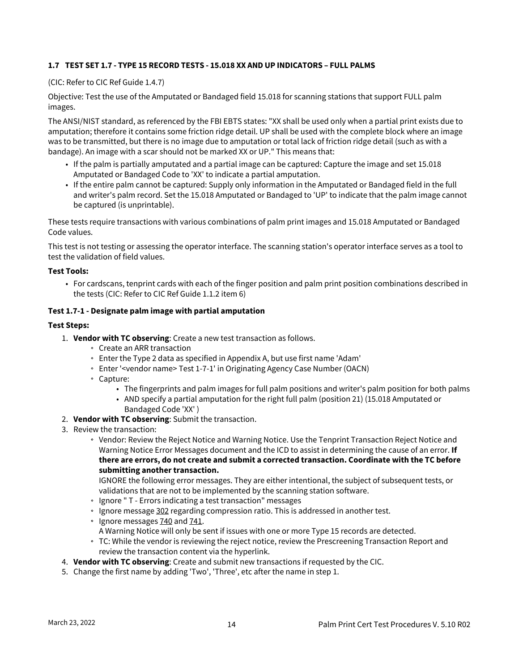#### <span id="page-15-0"></span>**1.7 TEST SET 1.7 - TYPE 15 RECORD TESTS - 15.018 XX AND UP INDICATORS – FULL PALMS**

#### (CIC: Refer to CIC Ref Guide 1.4.7)

Objective: Test the use of the Amputated or Bandaged field 15.018 for scanning stations that support FULL palm images.

The ANSI/NIST standard, as referenced by the FBI EBTS states: "XX shall be used only when a partial print exists due to amputation; therefore it contains some friction ridge detail. UP shall be used with the complete block where an image was to be transmitted, but there is no image due to amputation or total lack of friction ridge detail (such as with a bandage). An image with a scar should not be marked XX or UP." This means that:

- If the palm is partially amputated and a partial image can be captured: Capture the image and set 15.018 Amputated or Bandaged Code to 'XX' to indicate a partial amputation.
- If the entire palm cannot be captured: Supply only information in the Amputated or Bandaged field in the full and writer's palm record. Set the 15.018 Amputated or Bandaged to 'UP' to indicate that the palm image cannot be captured (is unprintable).

These tests require transactions with various combinations of palm print images and 15.018 Amputated or Bandaged Code values.

This test is not testing or assessing the operator interface. The scanning station's operator interface serves as a tool to test the validation of field values.

#### **Test Tools:**

• For cardscans, tenprint cards with each of the finger position and palm print position combinations described in the tests (CIC: Refer to CIC Ref Guide 1.1.2 item 6)

#### **Test 1.7-1 - Designate palm image with partial amputation**

#### **Test Steps:**

- 1. **Vendor with TC observing**: Create a new test transaction as follows.
	- Create an ARR transaction
	- Enter the Type 2 data as specified in Appendix A, but use first name 'Adam'
	- Enter '<vendor name> Test 1-7-1' in Originating Agency Case Number (OACN)
	- Capture:
		- The fingerprints and palm images for full palm positions and writer's palm position for both palms
		- AND specify a partial amputation for the right full palm (position 21) (15.018 Amputated or Bandaged Code 'XX' )
- 2. **Vendor with TC observing**: Submit the transaction.
- 3. Review the transaction:
	- Vendor: Review the Reject Notice and Warning Notice. Use the Tenprint Transaction Reject Notice and Warning Notice Error Messages document and the ICD to assist in determining the cause of an error. **If there are errors, do not create and submit a corrected transaction. Coordinate with the TC before submitting another transaction.**

IGNORE the following error messages. They are either intentional, the subject of subsequent tests, or validations that are not to be implemented by the scanning station software.

- Ignore " T Errors indicating a test transaction" messages
- <sup>o</sup> Ignore message 302 regarding compression ratio. This is addressed in another test.
- $\degree$  Ignore messages  $740$  and  $741$ .
- A Warning Notice will only be sent if issues with one or more Type 15 records are detected.
- TC: While the vendor is reviewing the reject notice, review the Prescreening Transaction Report and review the transaction content via the hyperlink.
- 4. **Vendor with TC observing**: Create and submit new transactions if requested by the CIC.
- 5. Change the first name by adding 'Two', 'Three', etc after the name in step 1.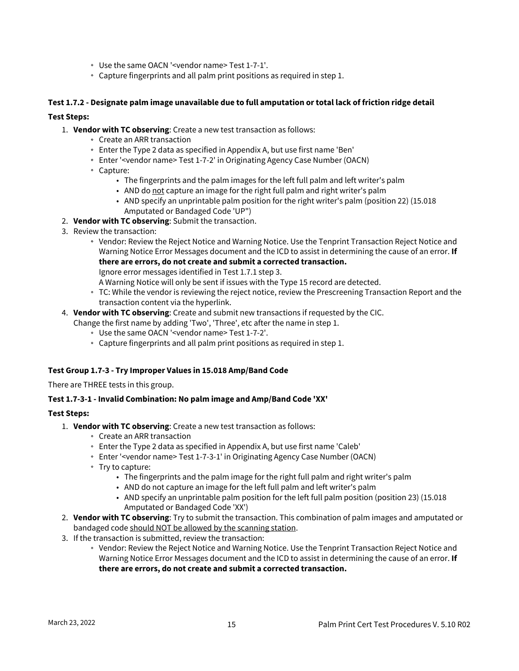- Use the same OACN '<vendor name> Test 1-7-1'.
- Capture fingerprints and all palm print positions as required in step 1.

#### **Test 1.7.2 - Designate palm image unavailable due to full amputation or total lack of friction ridge detail**

#### **Test Steps:**

- 1. **Vendor with TC observing**: Create a new test transaction as follows:
	- Create an ARR transaction
	- Enter the Type 2 data as specified in Appendix A, but use first name 'Ben'
	- Enter '<vendor name> Test 1-7-2' in Originating Agency Case Number (OACN)
	- Capture:
		- The fingerprints and the palm images for the left full palm and left writer's palm
		- AND do <u>not</u> capture an image for the right full palm and right writer's palm
		- AND specify an unprintable palm position for the right writer's palm (position 22) (15.018 Amputated or Bandaged Code 'UP")
- 2. **Vendor with TC observing**: Submit the transaction.
- 3. Review the transaction:
	- Vendor: Review the Reject Notice and Warning Notice. Use the Tenprint Transaction Reject Notice and Warning Notice Error Messages document and the ICD to assist in determining the cause of an error. **If there are errors, do not create and submit a corrected transaction.**
		- Ignore error messages identified in Test 1.7.1 step 3.
		- A Warning Notice will only be sent if issues with the Type 15 record are detected.
	- TC: While the vendor is reviewing the reject notice, review the Prescreening Transaction Report and the transaction content via the hyperlink.
- 4. **Vendor with TC observing**: Create and submit new transactions if requested by the CIC.
	- Change the first name by adding 'Two', 'Three', etc after the name in step 1.
		- Use the same OACN '<vendor name> Test 1-7-2'.
		- Capture fingerprints and all palm print positions as required in step 1.

#### **Test Group 1.7-3 - Try Improper Values in 15.018 Amp/Band Code**

There are THREE tests in this group.

#### **Test 1.7-3-1 - Invalid Combination: No palm image and Amp/Band Code 'XX'**

#### **Test Steps:**

- 1. **Vendor with TC observing**: Create a new test transaction as follows:
	- Create an ARR transaction
	- Enter the Type 2 data as specified in Appendix A, but use first name 'Caleb'
	- Enter '<vendor name> Test 1-7-3-1' in Originating Agency Case Number (OACN)
	- Try to capture:
		- The fingerprints and the palm image for the right full palm and right writer's palm
		- AND do not capture an image for the left full palm and left writer's palm
		- AND specify an unprintable palm position for the left full palm position (position 23) (15.018 Amputated or Bandaged Code 'XX')
- 2. **Vendor with TC observing**: Try to submit the transaction. This combination of palm images and amputated or bandaged code should NOT be allowed by the scanning station.
- 3. If the transaction is submitted, review the transaction:
	- Vendor: Review the Reject Notice and Warning Notice. Use the Tenprint Transaction Reject Notice and Warning Notice Error Messages document and the ICD to assist in determining the cause of an error. **If there are errors, do not create and submit a corrected transaction.**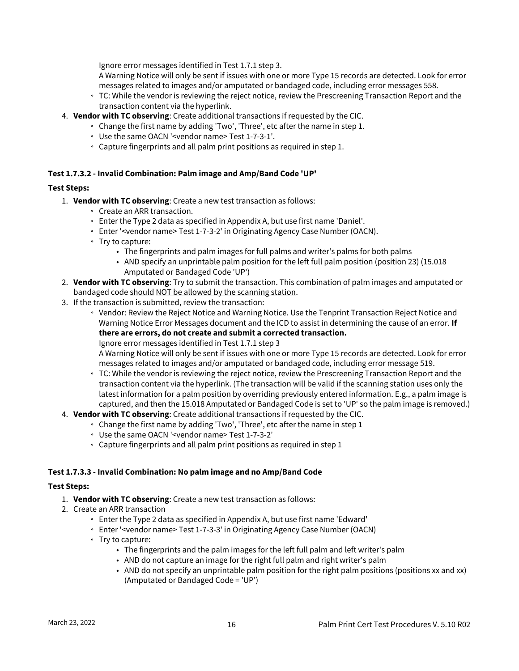Ignore error messages identified in Test 1.7.1 step 3.

A Warning Notice will only be sent if issues with one or more Type 15 records are detected. Look for error messages related to images and/or amputated or bandaged code, including error messages 558.

- TC: While the vendor is reviewing the reject notice, review the Prescreening Transaction Report and the transaction content via the hyperlink.
- 4. **Vendor with TC observing**: Create additional transactions if requested by the CIC.
	- Change the first name by adding 'Two', 'Three', etc after the name in step 1.
	- Use the same OACN '<vendor name> Test 1-7-3-1'.
	- Capture fingerprints and all palm print positions as required in step 1.

#### **Test 1.7.3.2 - Invalid Combination: Palm image and Amp/Band Code 'UP'**

#### **Test Steps:**

- 1. **Vendor with TC observing**: Create a new test transaction as follows:
	- Create an ARR transaction.
	- Enter the Type 2 data as specified in Appendix A, but use first name 'Daniel'.
	- Enter '<vendor name> Test 1-7-3-2' in Originating Agency Case Number (OACN).
	- Try to capture:
		- The fingerprints and palm images for full palms and writer's palms for both palms
		- AND specify an unprintable palm position for the left full palm position (position 23) (15.018 Amputated or Bandaged Code 'UP')
- 2. **Vendor with TC observing**: Try to submit the transaction. This combination of palm images and amputated or bandaged code should NOT be allowed by the scanning station.
- 3. If the transaction is submitted, review the transaction:
	- Vendor: Review the Reject Notice and Warning Notice. Use the Tenprint Transaction Reject Notice and Warning Notice Error Messages document and the ICD to assist in determining the cause of an error. **If there are errors, do not create and submit a corrected transaction.** Ignore error messages identified in Test 1.7.1 step 3

A Warning Notice will only be sent if issues with one or more Type 15 records are detected. Look for error messages related to images and/or amputated or bandaged code, including error message 519.

- TC: While the vendor is reviewing the reject notice, review the Prescreening Transaction Report and the transaction content via the hyperlink. (The transaction will be valid if the scanning station uses only the latest information for a palm position by overriding previously entered information. E.g., a palm image is captured, and then the 15.018 Amputated or Bandaged Code is set to 'UP' so the palm image is removed.)
- 4. **Vendor with TC observing**: Create additional transactions if requested by the CIC.
	- Change the first name by adding 'Two', 'Three', etc after the name in step 1
	- Use the same OACN '<vendor name> Test 1-7-3-2'
	- Capture fingerprints and all palm print positions as required in step 1

#### **Test 1.7.3.3 - Invalid Combination: No palm image and no Amp/Band Code**

#### **Test Steps:**

- 1. **Vendor with TC observing**: Create a new test transaction as follows:
- 2. Create an ARR transaction
	- Enter the Type 2 data as specified in Appendix A, but use first name 'Edward'
	- Enter '<vendor name> Test 1-7-3-3' in Originating Agency Case Number (OACN)
	- Try to capture:
		- The fingerprints and the palm images for the left full palm and left writer's palm
		- AND do not capture an image for the right full palm and right writer's palm
		- AND do not specify an unprintable palm position for the right palm positions (positions xx and xx) (Amputated or Bandaged Code = 'UP')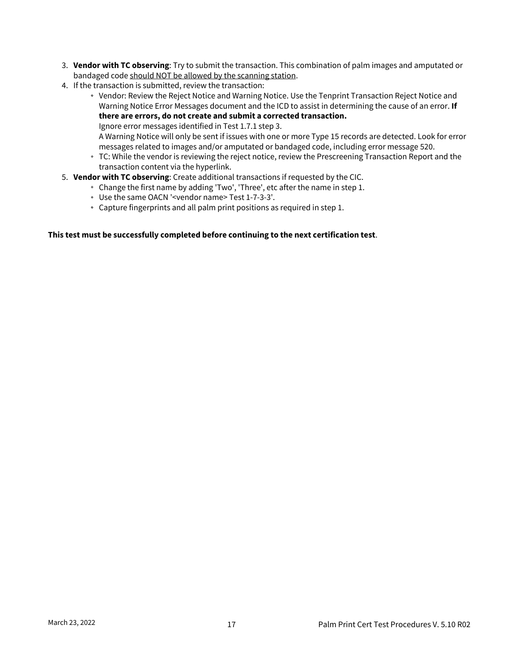- 3. **Vendor with TC observing**: Try to submit the transaction. This combination of palm images and amputated or bandaged code should NOT be allowed by the scanning station.
- 4. If the transaction is submitted, review the transaction:
	- Vendor: Review the Reject Notice and Warning Notice. Use the Tenprint Transaction Reject Notice and Warning Notice Error Messages document and the ICD to assist in determining the cause of an error. **If there are errors, do not create and submit a corrected transaction.** Ignore error messages identified in Test 1.7.1 step 3.

A Warning Notice will only be sent if issues with one or more Type 15 records are detected. Look for error messages related to images and/or amputated or bandaged code, including error message 520.

- TC: While the vendor is reviewing the reject notice, review the Prescreening Transaction Report and the transaction content via the hyperlink.
- 5. **Vendor with TC observing**: Create additional transactions if requested by the CIC.
	- Change the first name by adding 'Two', 'Three', etc after the name in step 1.
	- Use the same OACN '<vendor name> Test 1-7-3-3'.
	- Capture fingerprints and all palm print positions as required in step 1.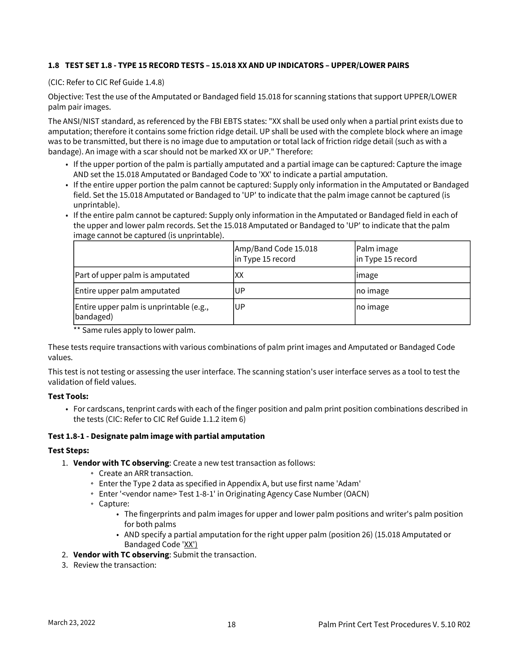#### <span id="page-19-0"></span>**1.8 TEST SET 1.8 - TYPE 15 RECORD TESTS – 15.018 XX AND UP INDICATORS – UPPER/LOWER PAIRS**

#### (CIC: Refer to CIC Ref Guide 1.4.8)

Objective: Test the use of the Amputated or Bandaged field 15.018 for scanning stations that support UPPER/LOWER palm pair images.

The ANSI/NIST standard, as referenced by the FBI EBTS states: "XX shall be used only when a partial print exists due to amputation; therefore it contains some friction ridge detail. UP shall be used with the complete block where an image was to be transmitted, but there is no image due to amputation or total lack of friction ridge detail (such as with a bandage). An image with a scar should not be marked XX or UP." Therefore:

- If the upper portion of the palm is partially amputated and a partial image can be captured: Capture the image AND set the 15.018 Amputated or Bandaged Code to 'XX' to indicate a partial amputation.
- If the entire upper portion the palm cannot be captured: Supply only information in the Amputated or Bandaged field. Set the 15.018 Amputated or Bandaged to 'UP' to indicate that the palm image cannot be captured (is unprintable).
- If the entire palm cannot be captured: Supply only information in the Amputated or Bandaged field in each of the upper and lower palm records. Set the 15.018 Amputated or Bandaged to 'UP' to indicate that the palm image cannot be captured (is unprintable).

|                                                      | Amp/Band Code 15.018<br>in Type 15 record | Palm image<br>in Type 15 record |
|------------------------------------------------------|-------------------------------------------|---------------------------------|
| Part of upper palm is amputated                      | XХ                                        | limage                          |
| Entire upper palm amputated                          | .UP                                       | no image                        |
| Entire upper palm is unprintable (e.g.,<br>bandaged) | UP                                        | no image                        |

\*\* Same rules apply to lower palm.

These tests require transactions with various combinations of palm print images and Amputated or Bandaged Code values.

This test is not testing or assessing the user interface. The scanning station's user interface serves as a tool to test the validation of field values.

#### **Test Tools:**

• For cardscans, tenprint cards with each of the finger position and palm print position combinations described in the tests (CIC: Refer to CIC Ref Guide 1.1.2 item 6)

#### **Test 1.8-1 - Designate palm image with partial amputation**

#### **Test Steps:**

- 1. **Vendor with TC observing**: Create a new test transaction as follows:
	- Create an ARR transaction.
	- Enter the Type 2 data as specified in Appendix A, but use first name 'Adam'
	- Enter '<vendor name> Test 1-8-1' in Originating Agency Case Number (OACN)
	- Capture:
		- The fingerprints and palm images for upper and lower palm positions and writer's palm position for both palms
		- AND specify a partial amputation for the right upper palm (position 26) (15.018 Amputated or Bandaged Code 'XX')
- 2. **Vendor with TC observing**: Submit the transaction.
- 3. Review the transaction: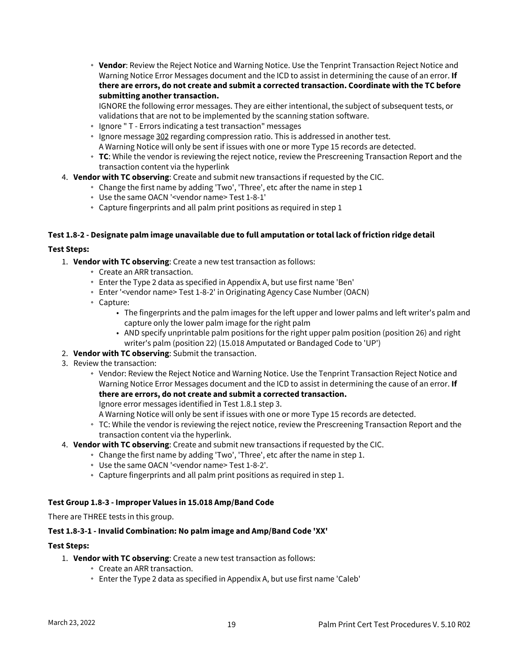**Vendor**: Review the Reject Notice and Warning Notice. Use the Tenprint Transaction Reject Notice and Warning Notice Error Messages document and the ICD to assist in determining the cause of an error. **If there are errors, do not create and submit a corrected transaction. Coordinate with the TC before submitting another transaction.**

IGNORE the following error messages. They are either intentional, the subject of subsequent tests, or validations that are not to be implemented by the scanning station software.

- Ignore " T Errors indicating a test transaction" messages
- Ignore message 302 regarding compression ratio. This is addressed in another test. A Warning Notice will only be sent if issues with one or more Type 15 records are detected.
- **TC**: While the vendor is reviewing the reject notice, review the Prescreening Transaction Report and the transaction content via the hyperlink
- 4. **Vendor with TC observing**: Create and submit new transactions if requested by the CIC.
	- Change the first name by adding 'Two', 'Three', etc after the name in step 1
	- Use the same OACN '<vendor name> Test 1-8-1'
	- Capture fingerprints and all palm print positions as required in step 1

#### **Test 1.8-2 - Designate palm image unavailable due to full amputation or total lack of friction ridge detail**

#### **Test Steps:**

- 1. **Vendor with TC observing**: Create a new test transaction as follows:
	- Create an ARR transaction.
	- Enter the Type 2 data as specified in Appendix A, but use first name 'Ben'
	- Enter '<vendor name> Test 1-8-2' in Originating Agency Case Number (OACN)
	- Capture:
		- The fingerprints and the palm images for the left upper and lower palms and left writer's palm and capture only the lower palm image for the right palm
		- AND specify unprintable palm positions for the right upper palm position (position 26) and right writer's palm (position 22) (15.018 Amputated or Bandaged Code to 'UP')
- 2. **Vendor with TC observing**: Submit the transaction.
- 3. Review the transaction:
	- Vendor: Review the Reject Notice and Warning Notice. Use the Tenprint Transaction Reject Notice and Warning Notice Error Messages document and the ICD to assist in determining the cause of an error. **If there are errors, do not create and submit a corrected transaction.**
		- Ignore error messages identified in Test 1.8.1 step 3.

A Warning Notice will only be sent if issues with one or more Type 15 records are detected.

- TC: While the vendor is reviewing the reject notice, review the Prescreening Transaction Report and the transaction content via the hyperlink.
- 4. **Vendor with TC observing**: Create and submit new transactions if requested by the CIC.
	- Change the first name by adding 'Two', 'Three', etc after the name in step 1.
		- Use the same OACN '<vendor name> Test 1-8-2'.
		- Capture fingerprints and all palm print positions as required in step 1.

#### **Test Group 1.8-3 - Improper Values in 15.018 Amp/Band Code**

There are THREE tests in this group.

#### **Test 1.8-3-1 - Invalid Combination: No palm image and Amp/Band Code 'XX'**

#### **Test Steps:**

- 1. **Vendor with TC observing**: Create a new test transaction as follows:
	- Create an ARR transaction.
		- Enter the Type 2 data as specified in Appendix A, but use first name 'Caleb'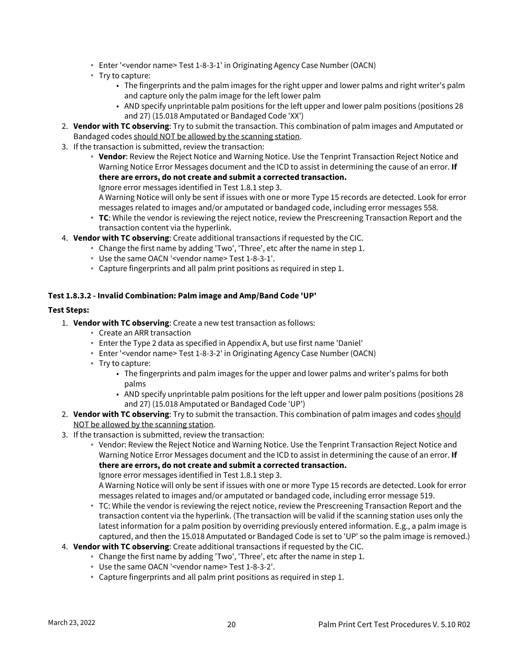- Enter '<vendor name> Test 1-8-3-1' in Originating Agency Case Number (OACN)
- Try to capture:
	- The fingerprints and the palm images for the right upper and lower palms and right writer's palm and capture only the palm image for the left lower palm
	- AND specify unprintable palm positions for the left upper and lower palm positions (positions 28 and 27) (15.018 Amputated or Bandaged Code 'XX')
- 2. **Vendor with TC observing**: Try to submit the transaction. This combination of palm images and Amputated or Bandaged codes should NOT be allowed by the scanning station.
- 3. If the transaction is submitted, review the transaction:
	- **Vendor**: Review the Reject Notice and Warning Notice. Use the Tenprint Transaction Reject Notice and Warning Notice Error Messages document and the ICD to assist in determining the cause of an error. **If there are errors, do not create and submit a corrected transaction.**
	- Ignore error messages identified in Test 1.8.1 step 3.

A Warning Notice will only be sent if issues with one or more Type 15 records are detected. Look for error messages related to images and/or amputated or bandaged code, including error messages 558.

- **TC**: While the vendor is reviewing the reject notice, review the Prescreening Transaction Report and the transaction content via the hyperlink.
- 4. **Vendor with TC observing**: Create additional transactions if requested by the CIC.
	- Change the first name by adding 'Two', 'Three', etc after the name in step 1.
		- Use the same OACN '<vendor name> Test 1-8-3-1'.
	- Capture fingerprints and all palm print positions as required in step 1.

#### **Test 1.8.3.2 - Invalid Combination: Palm image and Amp/Band Code 'UP'**

#### **Test Steps:**

- 1. **Vendor with TC observing**: Create a new test transaction as follows:
	- Create an ARR transaction
	- Enter the Type 2 data as specified in Appendix A, but use first name 'Daniel'
	- Enter '<vendor name> Test 1-8-3-2' in Originating Agency Case Number (OACN)
	- Try to capture:
		- The fingerprints and palm images for the upper and lower palms and writer's palms for both palms
		- AND specify unprintable palm positions for the left upper and lower palm positions (positions 28 and 27) (15.018 Amputated or Bandaged Code 'UP')
- 2. **Vendor with TC observing**: Try to submit the transaction. This combination of palm images and codes <u>should</u> NOT be allowed by the scanning station.
- 3. If the transaction is submitted, review the transaction:
	- Vendor: Review the Reject Notice and Warning Notice. Use the Tenprint Transaction Reject Notice and Warning Notice Error Messages document and the ICD to assist in determining the cause of an error. **If there are errors, do not create and submit a corrected transaction.**

Ignore error messages identified in Test 1.8.1 step 3.

A Warning Notice will only be sent if issues with one or more Type 15 records are detected. Look for error messages related to images and/or amputated or bandaged code, including error message 519.

- TC: While the vendor is reviewing the reject notice, review the Prescreening Transaction Report and the transaction content via the hyperlink. (The transaction will be valid if the scanning station uses only the latest information for a palm position by overriding previously entered information. E.g., a palm image is captured, and then the 15.018 Amputated or Bandaged Code is set to 'UP' so the palm image is removed.)
- 4. **Vendor with TC observing**: Create additional transactions if requested by the CIC.
	- Change the first name by adding 'Two', 'Three', etc after the name in step 1.
	- Use the same OACN '<vendor name> Test 1-8-3-2'.
	- Capture fingerprints and all palm print positions as required in step 1.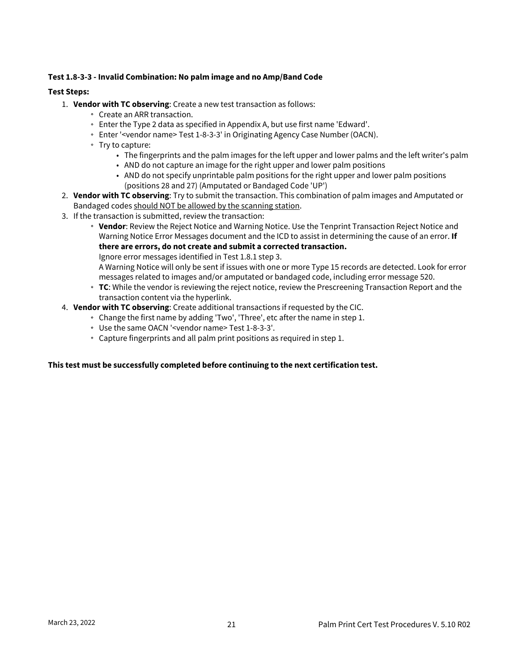#### **Test 1.8-3-3 - Invalid Combination: No palm image and no Amp/Band Code**

#### **Test Steps:**

- 1. **Vendor with TC observing**: Create a new test transaction as follows:
	- Create an ARR transaction.
	- Enter the Type 2 data as specified in Appendix A, but use first name 'Edward'.
	- Enter '<vendor name> Test 1-8-3-3' in Originating Agency Case Number (OACN).
	- Try to capture:
		- The fingerprints and the palm images for the left upper and lower palms and the left writer's palm
		- AND do not capture an image for the right upper and lower palm positions
		- AND do not specify unprintable palm positions for the right upper and lower palm positions (positions 28 and 27) (Amputated or Bandaged Code 'UP')
- 2. **Vendor with TC observing**: Try to submit the transaction. This combination of palm images and Amputated or Bandaged codes should NOT be allowed by the scanning station.
- 3. If the transaction is submitted, review the transaction:
	- **Vendor**: Review the Reject Notice and Warning Notice. Use the Tenprint Transaction Reject Notice and Warning Notice Error Messages document and the ICD to assist in determining the cause of an error. **If there are errors, do not create and submit a corrected transaction.**

Ignore error messages identified in Test 1.8.1 step 3.

A Warning Notice will only be sent if issues with one or more Type 15 records are detected. Look for error messages related to images and/or amputated or bandaged code, including error message 520.

- **TC**: While the vendor is reviewing the reject notice, review the Prescreening Transaction Report and the transaction content via the hyperlink.
- 4. **Vendor with TC observing**: Create additional transactions if requested by the CIC.
	- Change the first name by adding 'Two', 'Three', etc after the name in step 1.
		- Use the same OACN '<vendor name> Test 1-8-3-3'.
		- Capture fingerprints and all palm print positions as required in step 1.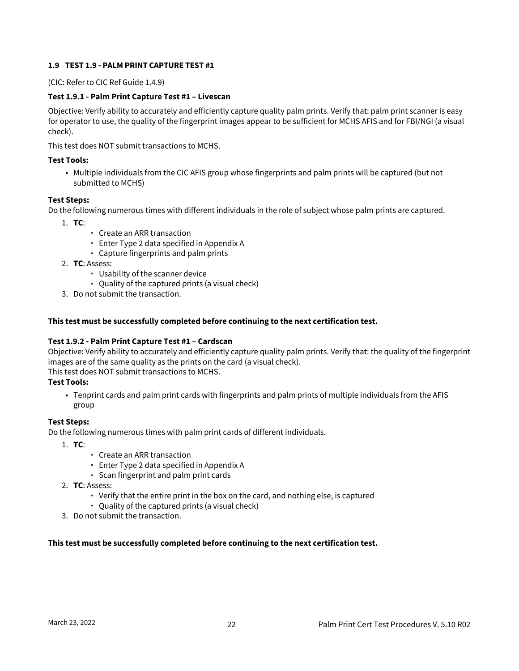#### <span id="page-23-0"></span>**1.9 TEST 1.9 - PALM PRINT CAPTURE TEST #1**

(CIC: Refer to CIC Ref Guide 1.4.9)

#### **Test 1.9.1 - Palm Print Capture Test #1 – Livescan**

Objective: Verify ability to accurately and efficiently capture quality palm prints. Verify that: palm print scanner is easy for operator to use, the quality of the fingerprint images appear to be sufficient for MCHS AFIS and for FBI/NGI (a visual check).

This test does NOT submit transactions to MCHS.

#### **Test Tools:**

• Multiple individuals from the CIC AFIS group whose fingerprints and palm prints will be captured (but not submitted to MCHS)

#### **Test Steps:**

Do the following numerous times with different individuals in the role of subject whose palm prints are captured.

- 1. **TC**:
- Create an ARR transaction
- Enter Type 2 data specified in Appendix A
- Capture fingerprints and palm prints
- 2. **TC**: Assess:
	- Usability of the scanner device
	- Quality of the captured prints (a visual check)
- 3. Do not submit the transaction.

#### **This test must be successfully completed before continuing to the next certification test.**

#### **Test 1.9.2 - Palm Print Capture Test #1 – Cardscan**

Objective: Verify ability to accurately and efficiently capture quality palm prints. Verify that: the quality of the fingerprint images are of the same quality as the prints on the card (a visual check).

This test does NOT submit transactions to MCHS.

#### **Test Tools:**

• Tenprint cards and palm print cards with fingerprints and palm prints of multiple individuals from the AFIS group

#### **Test Steps:**

Do the following numerous times with palm print cards of different individuals.

- 1. **TC**:
	- Create an ARR transaction
	- Enter Type 2 data specified in Appendix A
	- Scan fingerprint and palm print cards
- 2. **TC**: Assess:
	- Verify that the entire print in the box on the card, and nothing else, is captured
	- Quality of the captured prints (a visual check)
- 3. Do not submit the transaction.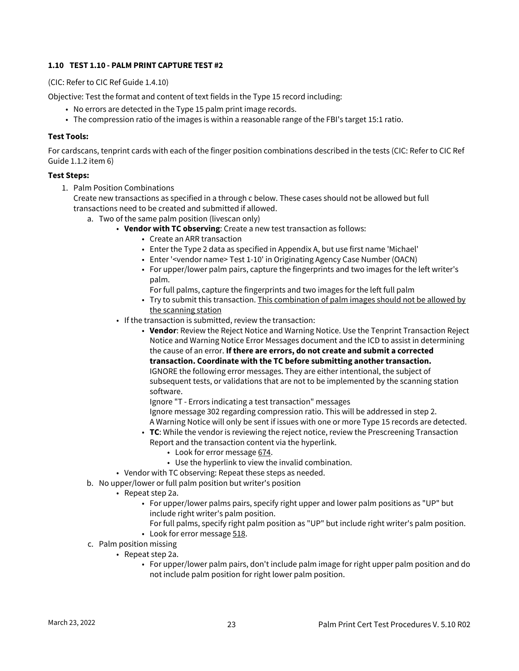#### <span id="page-24-0"></span>**1.10 TEST 1.10 - PALM PRINT CAPTURE TEST #2**

(CIC: Refer to CIC Ref Guide 1.4.10)

Objective: Test the format and content of text fields in the Type 15 record including:

- No errors are detected in the Type 15 palm print image records.
- The compression ratio of the images is within a reasonable range of the FBI's target 15:1 ratio.

#### **Test Tools:**

For cardscans, tenprint cards with each of the finger position combinations described in the tests (CIC: Refer to CIC Ref Guide 1.1.2 item 6)

#### **Test Steps:**

1. Palm Position Combinations

Create new transactions as specified in a through c below. These cases should not be allowed but full transactions need to be created and submitted if allowed.

- a. Two of the same palm position (livescan only)
	- **Vendor with TC observing**: Create a new test transaction as follows:
		- Create an ARR transaction
		- Enter the Type 2 data as specified in Appendix A, but use first name 'Michael'
		- Enter '<vendor name> Test 1-10' in Originating Agency Case Number (OACN)
		- For upper/lower palm pairs, capture the fingerprints and two images for the left writer's palm.

For full palms, capture the fingerprints and two images for the left full palm

- Try to submit this transaction. <u>This combination of palm images should not be allowed by</u> the scanning station
- If the transaction is submitted, review the transaction:
	- **Vendor**: Review the Reject Notice and Warning Notice. Use the Tenprint Transaction Reject Notice and Warning Notice Error Messages document and the ICD to assist in determining the cause of an error. **If there are errors, do not create and submit a corrected transaction. Coordinate with the TC before submitting another transaction.** IGNORE the following error messages. They are either intentional, the subject of subsequent tests, or validations that are not to be implemented by the scanning station software.

Ignore "T - Errors indicating a test transaction" messages Ignore message 302 regarding compression ratio. This will be addressed in step 2. A Warning Notice will only be sent if issues with one or more Type 15 records are detected.

- **TC**: While the vendor is reviewing the reject notice, review the Prescreening Transaction Report and the transaction content via the hyperlink.
	- Look for error message <u>674</u>.
	- Use the hyperlink to view the invalid combination.
- Vendor with TC observing: Repeat these steps as needed.
- b. No upper/lower or full palm position but writer's position
	- Repeat step 2a.
		- For upper/lower palms pairs, specify right upper and lower palm positions as "UP" but include right writer's palm position.
			- For full palms, specify right palm position as "UP" but include right writer's palm position.
		- Look for error message <u>518</u>.
- c. Palm position missing
	- Repeat step 2a.
		- For upper/lower palm pairs, don't include palm image for right upper palm position and do not include palm position for right lower palm position.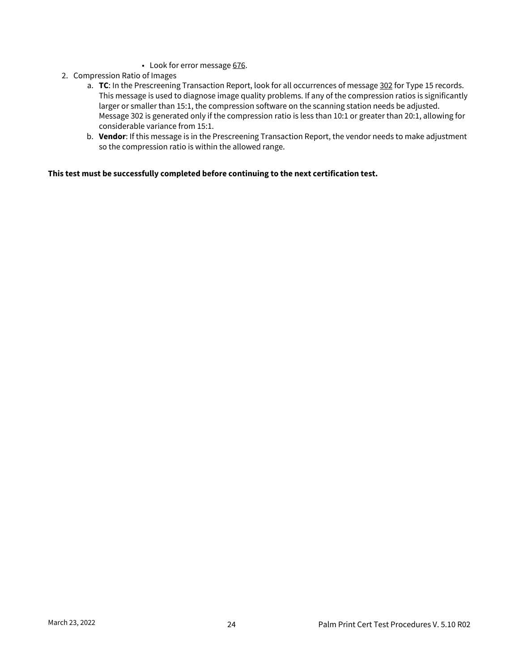- Look for error message <u>676</u>.
- 2. Compression Ratio of Images
	- a. **TC**: In the Prescreening Transaction Report, look for all occurrences of message 302 for Type 15 records. This message is used to diagnose image quality problems. If any of the compression ratios is significantly larger or smaller than 15:1, the compression software on the scanning station needs be adjusted. Message 302 is generated only if the compression ratio is less than 10:1 or greater than 20:1, allowing for considerable variance from 15:1.
	- b. **Vendor**: If this message is in the Prescreening Transaction Report, the vendor needs to make adjustment so the compression ratio is within the allowed range.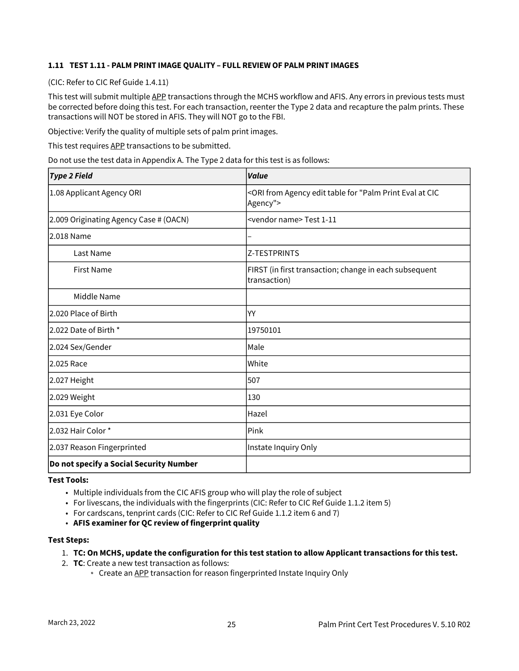#### <span id="page-26-0"></span>**1.11 TEST 1.11 - PALM PRINT IMAGE QUALITY – FULL REVIEW OF PALM PRINT IMAGES**

(CIC: Refer to CIC Ref Guide 1.4.11)

This test will submit multiple APP transactions through the MCHS workflow and AFIS. Any errors in previous tests must be corrected before doing this test. For each transaction, reenter the Type 2 data and recapture the palm prints. These transactions will NOT be stored in AFIS. They will NOT go to the FBI.

Objective: Verify the quality of multiple sets of palm print images.

This test requires APP transactions to be submitted.

Do not use the test data in Appendix A. The Type 2 data for this test is as follows:

| <b>Type 2 Field</b>                     | <b>Value</b>                                                                                               |
|-----------------------------------------|------------------------------------------------------------------------------------------------------------|
| 1.08 Applicant Agency ORI               | <ori "palm="" agency="" at="" cic<br="" edit="" eval="" for="" from="" print="" table="">Agency"&gt;</ori> |
| 2.009 Originating Agency Case # (OACN)  | <vendor name=""> Test 1-11</vendor>                                                                        |
| l2.018 Name                             |                                                                                                            |
| Last Name                               | <b>Z-TESTPRINTS</b>                                                                                        |
| <b>First Name</b>                       | FIRST (in first transaction; change in each subsequent<br>transaction)                                     |
| Middle Name                             |                                                                                                            |
| 2.020 Place of Birth                    | YY                                                                                                         |
| 2.022 Date of Birth *                   | 19750101                                                                                                   |
| 2.024 Sex/Gender                        | Male                                                                                                       |
| 2.025 Race                              | White                                                                                                      |
| 2.027 Height                            | 507                                                                                                        |
| 2.029 Weight                            | 130                                                                                                        |
| 2.031 Eye Color                         | Hazel                                                                                                      |
| 2.032 Hair Color *                      | Pink                                                                                                       |
| 2.037 Reason Fingerprinted              | Instate Inquiry Only                                                                                       |
| Do not specify a Social Security Number |                                                                                                            |

**Test Tools:**

- Multiple individuals from the CIC AFIS group who will play the role of subject
- For livescans, the individuals with the fingerprints (CIC: Refer to CIC Ref Guide 1.1.2 item 5)
- For cardscans, tenprint cards (CIC: Refer to CIC Ref Guide 1.1.2 item 6 and 7)
- **AFIS examiner for QC review of fingerprint quality**

#### **Test Steps:**

- 1. **TC: On MCHS, update the configuration for this test station to allow Applicant transactions for this test.**
- 2. **TC**: Create a new test transaction as follows:
	- o Create an APP transaction for reason fingerprinted Instate Inquiry Only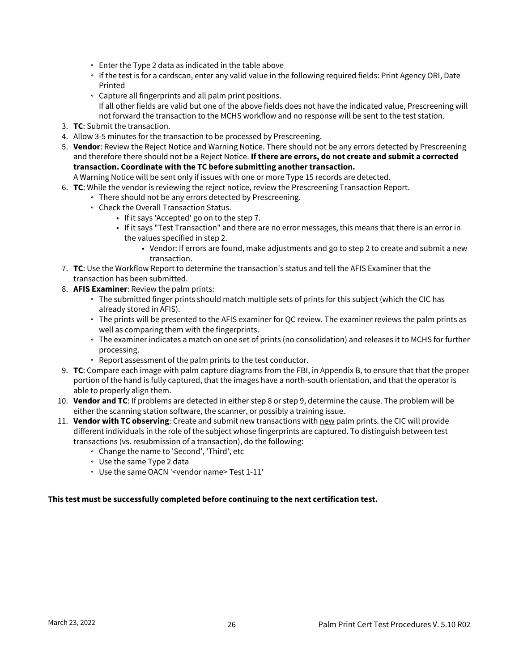- Enter the Type 2 data as indicated in the table above
- If the test is for a cardscan, enter any valid value in the following required fields: Print Agency ORI, Date Printed
- Capture all fingerprints and all palm print positions. If all other fields are valid but one of the above fields does not have the indicated value, Prescreening will not forward the transaction to the MCHS workflow and no response will be sent to the test station.
- 3. **TC**: Submit the transaction.
- 4. Allow 3-5 minutes for the transaction to be processed by Prescreening.
- 5. **Vendor**: Review the Reject Notice and Warning Notice. There should not be any errors detected by Prescreening and therefore there should not be a Reject Notice. **If there are errors, do not create and submit a corrected transaction. Coordinate with the TC before submitting another transaction.**
- A Warning Notice will be sent only if issues with one or more Type 15 records are detected.
- 6. **TC**: While the vendor is reviewing the reject notice, review the Prescreening Transaction Report.
	- There should not be any errors detected by Prescreening.
	- Check the Overall Transaction Status.
		- If it says 'Accepted' go on to the step 7.
		- If it says "Test Transaction" and there are no error messages, this means that there is an error in the values specified in step 2.
			- Vendor: If errors are found, make adjustments and go to step 2 to create and submit a new transaction.
- 7. **TC**: Use the Workflow Report to determine the transaction's status and tell the AFIS Examiner that the transaction has been submitted.
- 8. **AFIS Examiner**: Review the palm prints:
	- The submitted finger prints should match multiple sets of prints for this subject (which the CIC has already stored in AFIS).
	- The prints will be presented to the AFIS examiner for QC review. The examiner reviews the palm prints as well as comparing them with the fingerprints.
	- The examiner indicates a match on one set of prints (no consolidation) and releases it to MCHS for further processing.
	- Report assessment of the palm prints to the test conductor.
- 9. **TC**: Compare each image with palm capture diagrams from the FBI, in Appendix B, to ensure that that the proper portion of the hand is fully captured, that the images have a north-south orientation, and that the operator is able to properly align them.
- 10. **Vendor and TC**: If problems are detected in either step 8 or step 9, determine the cause. The problem will be either the scanning station software, the scanner, or possibly a training issue.
- 11. **Vendor with TC observing**: Create and submit new transactions with new palm prints. the CIC will provide different individuals in the role of the subject whose fingerprints are captured. To distinguish between test transactions (vs. resubmission of a transaction), do the following:
	- Change the name to 'Second', 'Third', etc
	- Use the same Type 2 data
	- Use the same OACN '<vendor name> Test 1-11'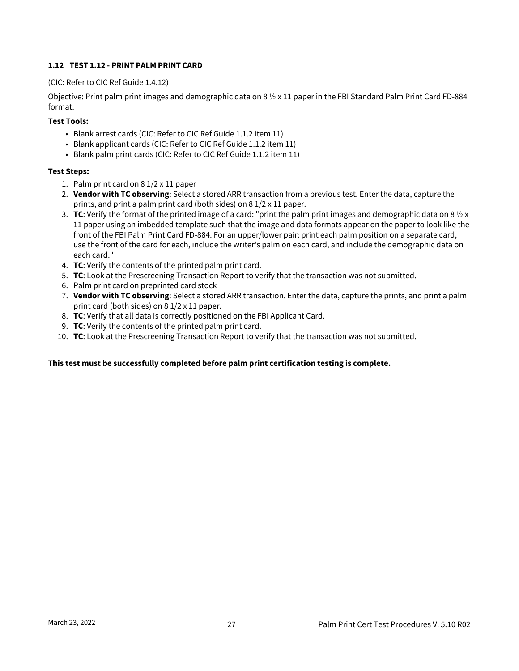#### <span id="page-28-0"></span>**1.12 TEST 1.12 - PRINT PALM PRINT CARD**

#### (CIC: Refer to CIC Ref Guide 1.4.12)

Objective: Print palm print images and demographic data on 8 ½ x 11 paper in the FBI Standard Palm Print Card FD-884 format.

#### **Test Tools:**

- Blank arrest cards (CIC: Refer to CIC Ref Guide 1.1.2 item 11)
- Blank applicant cards (CIC: Refer to CIC Ref Guide 1.1.2 item 11)
- Blank palm print cards (CIC: Refer to CIC Ref Guide 1.1.2 item 11)

#### **Test Steps:**

- 1. Palm print card on 8 1/2 x 11 paper
- 2. **Vendor with TC observing**: Select a stored ARR transaction from a previous test. Enter the data, capture the prints, and print a palm print card (both sides) on 8 1/2 x 11 paper.
- 3. TC: Verify the format of the printed image of a card: "print the palm print images and demographic data on 8 ½ x 11 paper using an imbedded template such that the image and data formats appear on the paper to look like the front of the FBI Palm Print Card FD-884. For an upper/lower pair: print each palm position on a separate card, use the front of the card for each, include the writer's palm on each card, and include the demographic data on each card."
- 4. **TC**: Verify the contents of the printed palm print card.
- 5. **TC**: Look at the Prescreening Transaction Report to verify that the transaction was not submitted.
- 6. Palm print card on preprinted card stock
- 7. **Vendor with TC observing**: Select a stored ARR transaction. Enter the data, capture the prints, and print a palm print card (both sides) on 8 1/2 x 11 paper.
- 8. **TC**: Verify that all data is correctly positioned on the FBI Applicant Card.
- 9. **TC**: Verify the contents of the printed palm print card.
- 10. **TC**: Look at the Prescreening Transaction Report to verify that the transaction was not submitted.

#### **This test must be successfully completed before palm print certification testing is complete.**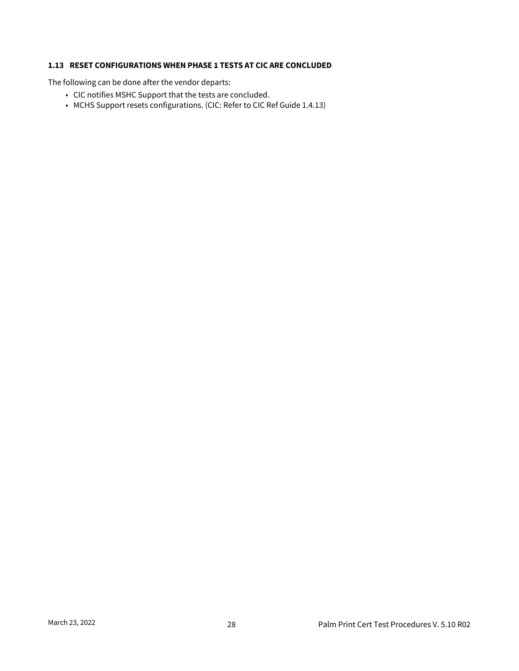#### <span id="page-29-0"></span>**1.13 RESET CONFIGURATIONS WHEN PHASE 1 TESTS AT CIC ARE CONCLUDED**

The following can be done after the vendor departs:

- CIC notifies MSHC Support that the tests are concluded.
- MCHS Support resets configurations. (CIC: Refer to CIC Ref Guide 1.4.13)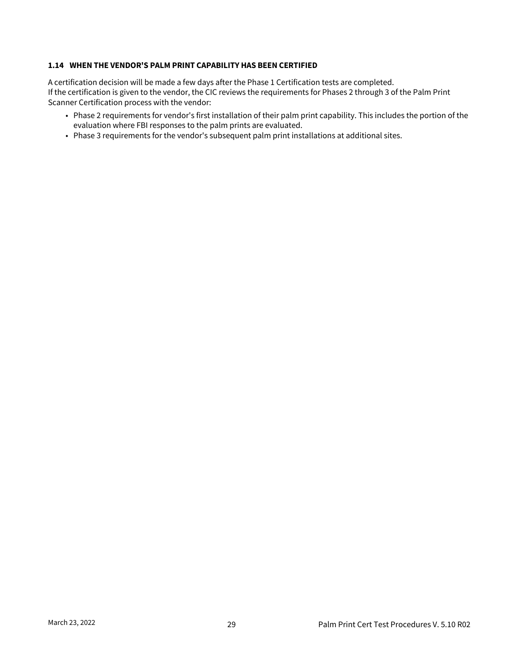#### <span id="page-30-0"></span>**1.14 WHEN THE VENDOR'S PALM PRINT CAPABILITY HAS BEEN CERTIFIED**

A certification decision will be made a few days after the Phase 1 Certification tests are completed. If the certification is given to the vendor, the CIC reviews the requirements for Phases 2 through 3 of the Palm Print Scanner Certification process with the vendor:

- Phase 2 requirements for vendor's first installation of their palm print capability. This includes the portion of the evaluation where FBI responses to the palm prints are evaluated.
- Phase 3 requirements for the vendor's subsequent palm print installations at additional sites.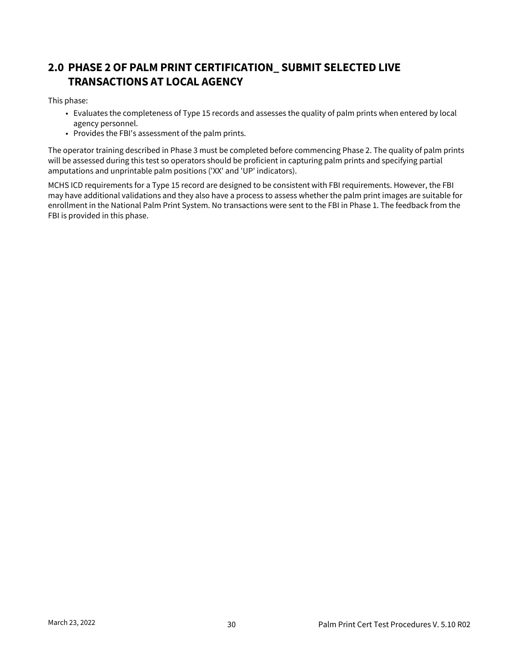# <span id="page-31-0"></span>**2.0 PHASE 2 OF PALM PRINT CERTIFICATION\_ SUBMIT SELECTED LIVE TRANSACTIONS AT LOCAL AGENCY**

This phase:

- Evaluates the completeness of Type 15 records and assesses the quality of palm prints when entered by local agency personnel.
- Provides the FBI's assessment of the palm prints.

The operator training described in Phase 3 must be completed before commencing Phase 2. The quality of palm prints will be assessed during this test so operators should be proficient in capturing palm prints and specifying partial amputations and unprintable palm positions ('XX' and 'UP' indicators).

MCHS ICD requirements for a Type 15 record are designed to be consistent with FBI requirements. However, the FBI may have additional validations and they also have a process to assess whether the palm print images are suitable for enrollment in the National Palm Print System. No transactions were sent to the FBI in Phase 1. The feedback from the FBI is provided in this phase.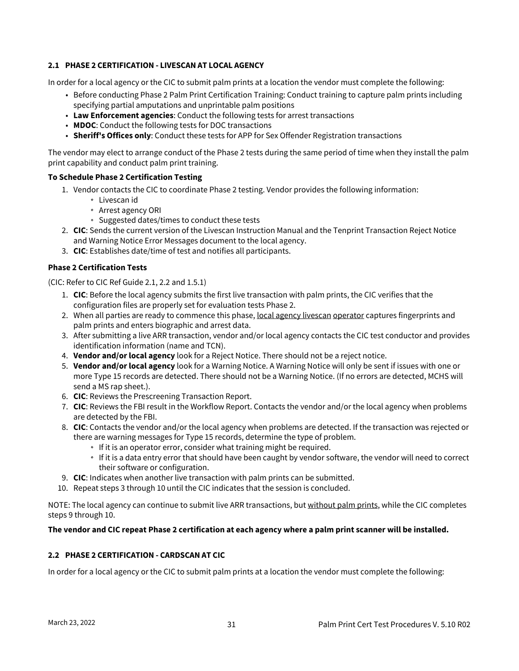#### <span id="page-32-0"></span>**2.1 PHASE 2 CERTIFICATION - LIVESCAN AT LOCAL AGENCY**

In order for a local agency or the CIC to submit palm prints at a location the vendor must complete the following:

- Before conducting Phase 2 Palm Print Certification Training: Conduct training to capture palm prints including specifying partial amputations and unprintable palm positions
- **Law Enforcement agencies**: Conduct the following tests for arrest transactions
- **MDOC**: Conduct the following tests for DOC transactions
- **Sheriff's Offices only**: Conduct these tests for APP for Sex Offender Registration transactions

The vendor may elect to arrange conduct of the Phase 2 tests during the same period of time when they install the palm print capability and conduct palm print training.

#### **To Schedule Phase 2 Certification Testing**

- 1. Vendor contacts the CIC to coordinate Phase 2 testing. Vendor provides the following information:
	- Livescan id
	- Arrest agency ORI
	- <sup>o</sup> Suggested dates/times to conduct these tests
- 2. **CIC**: Sends the current version of the Livescan Instruction Manual and the Tenprint Transaction Reject Notice and Warning Notice Error Messages document to the local agency.
- 3. **CIC**: Establishes date/time of test and notifies all participants.

#### **Phase 2 Certification Tests**

(CIC: Refer to CIC Ref Guide 2.1, 2.2 and 1.5.1)

- 1. **CIC**: Before the local agency submits the first live transaction with palm prints, the CIC verifies that the configuration files are properly set for evaluation tests Phase 2.
- 2. When all parties are ready to commence this phase, <u>local agency livescan operator</u> captures fingerprints and palm prints and enters biographic and arrest data.
- 3. After submitting a live ARR transaction, vendor and/or local agency contacts the CIC test conductor and provides identification information (name and TCN).
- 4. **Vendor and/or local agency** look for a Reject Notice. There should not be a reject notice.
- 5. **Vendor and/or local agency** look for a Warning Notice. A Warning Notice will only be sent if issues with one or more Type 15 records are detected. There should not be a Warning Notice. (If no errors are detected, MCHS will send a MS rap sheet.).
- 6. **CIC**: Reviews the Prescreening Transaction Report.
- 7. **CIC**: Reviews the FBI result in the Workflow Report. Contacts the vendor and/or the local agency when problems are detected by the FBI.
- 8. **CIC**: Contacts the vendor and/or the local agency when problems are detected. If the transaction was rejected or there are warning messages for Type 15 records, determine the type of problem.
	- If it is an operator error, consider what training might be required.
	- If it is a data entry error that should have been caught by vendor software, the vendor will need to correct their software or configuration.
- 9. **CIC**: Indicates when another live transaction with palm prints can be submitted.
- 10. Repeat steps 3 through 10 until the CIC indicates that the session is concluded.

NOTE: The local agency can continue to submit live ARR transactions, but without palm prints, while the CIC completes steps 9 through 10.

#### **The vendor and CIC repeat Phase 2 certification at each agency where a palm print scanner will be installed.**

#### <span id="page-32-1"></span>**2.2 PHASE 2 CERTIFICATION - CARDSCAN AT CIC**

In order for a local agency or the CIC to submit palm prints at a location the vendor must complete the following: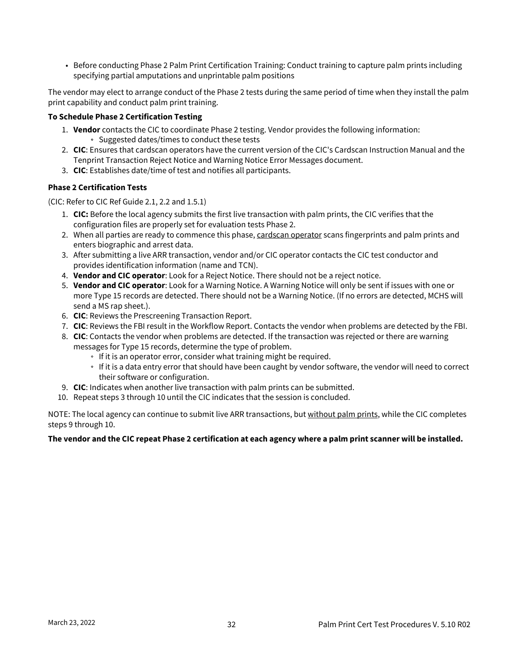• Before conducting Phase 2 Palm Print Certification Training: Conduct training to capture palm prints including specifying partial amputations and unprintable palm positions

The vendor may elect to arrange conduct of the Phase 2 tests during the same period of time when they install the palm print capability and conduct palm print training.

#### **To Schedule Phase 2 Certification Testing**

- 1. **Vendor** contacts the CIC to coordinate Phase 2 testing. Vendor provides the following information: <sup>o</sup> Suggested dates/times to conduct these tests
- 2. **CIC**: Ensures that cardscan operators have the current version of the CIC's Cardscan Instruction Manual and the Tenprint Transaction Reject Notice and Warning Notice Error Messages document.
- 3. **CIC**: Establishes date/time of test and notifies all participants.

#### **Phase 2 Certification Tests**

(CIC: Refer to CIC Ref Guide 2.1, 2.2 and 1.5.1)

- 1. **CIC:** Before the local agency submits the first live transaction with palm prints, the CIC verifies that the configuration files are properly set for evaluation tests Phase 2.
- 2. When all parties are ready to commence this phase, <u>cardscan operator</u> scans fingerprints and palm prints and enters biographic and arrest data.
- 3. After submitting a live ARR transaction, vendor and/or CIC operator contacts the CIC test conductor and provides identification information (name and TCN).
- 4. **Vendor and CIC operator**: Look for a Reject Notice. There should not be a reject notice.
- 5. **Vendor and CIC operator**: Look for a Warning Notice. A Warning Notice will only be sent if issues with one or more Type 15 records are detected. There should not be a Warning Notice. (If no errors are detected, MCHS will send a MS rap sheet.).
- 6. **CIC**: Reviews the Prescreening Transaction Report.
- 7. **CIC**: Reviews the FBI result in the Workflow Report. Contacts the vendor when problems are detected by the FBI.
- 8. **CIC**: Contacts the vendor when problems are detected. If the transaction was rejected or there are warning messages for Type 15 records, determine the type of problem.
	- If it is an operator error, consider what training might be required.
	- If it is a data entry error that should have been caught by vendor software, the vendor will need to correct their software or configuration.
- 9. **CIC**: Indicates when another live transaction with palm prints can be submitted.
- 10. Repeat steps 3 through 10 until the CIC indicates that the session is concluded.

NOTE: The local agency can continue to submit live ARR transactions, but without palm prints, while the CIC completes steps 9 through 10.

#### **The vendor and the CIC repeat Phase 2 certification at each agency where a palm print scanner will be installed.**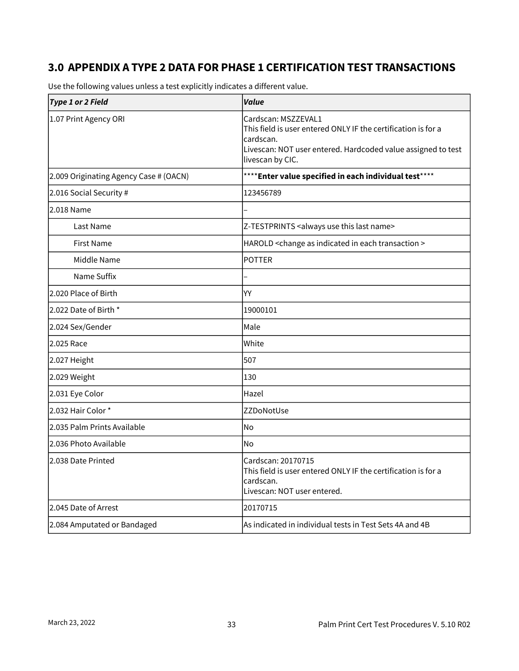# <span id="page-34-0"></span>**3.0 APPENDIX A TYPE 2 DATA FOR PHASE 1 CERTIFICATION TEST TRANSACTIONS**

| <b>Type 1 or 2 Field</b>               | Value                                                                                                                                                                                 |
|----------------------------------------|---------------------------------------------------------------------------------------------------------------------------------------------------------------------------------------|
| 1.07 Print Agency ORI                  | Cardscan: MSZZEVAL1<br>This field is user entered ONLY IF the certification is for a<br>cardscan.<br>Livescan: NOT user entered. Hardcoded value assigned to test<br>livescan by CIC. |
| 2.009 Originating Agency Case # (OACN) | **** Enter value specified in each individual test****                                                                                                                                |
| 2.016 Social Security #                | 123456789                                                                                                                                                                             |
| 2.018 Name                             |                                                                                                                                                                                       |
| Last Name                              | Z-TESTPRINTS <always last="" name="" this="" use=""></always>                                                                                                                         |
| <b>First Name</b>                      | HAROLD <change as="" each="" in="" indicated="" transaction=""></change>                                                                                                              |
| Middle Name                            | <b>POTTER</b>                                                                                                                                                                         |
| Name Suffix                            |                                                                                                                                                                                       |
| 2.020 Place of Birth                   | YY                                                                                                                                                                                    |
| 2.022 Date of Birth *                  | 19000101                                                                                                                                                                              |
| 2.024 Sex/Gender                       | Male                                                                                                                                                                                  |
| 2.025 Race                             | White                                                                                                                                                                                 |
| 2.027 Height                           | 507                                                                                                                                                                                   |
| 2.029 Weight                           | 130                                                                                                                                                                                   |
| 2.031 Eye Color                        | Hazel                                                                                                                                                                                 |
| 2.032 Hair Color*                      | ZZDoNotUse                                                                                                                                                                            |
| 2.035 Palm Prints Available            | No                                                                                                                                                                                    |
| l2.036 Photo Available                 | No                                                                                                                                                                                    |
| 2.038 Date Printed                     | Cardscan: 20170715<br>This field is user entered ONLY IF the certification is for a<br>cardscan.<br>Livescan: NOT user entered.                                                       |
| 2.045 Date of Arrest                   | 20170715                                                                                                                                                                              |
| 2.084 Amputated or Bandaged            | As indicated in individual tests in Test Sets 4A and 4B                                                                                                                               |

Use the following values unless a test explicitly indicates a different value.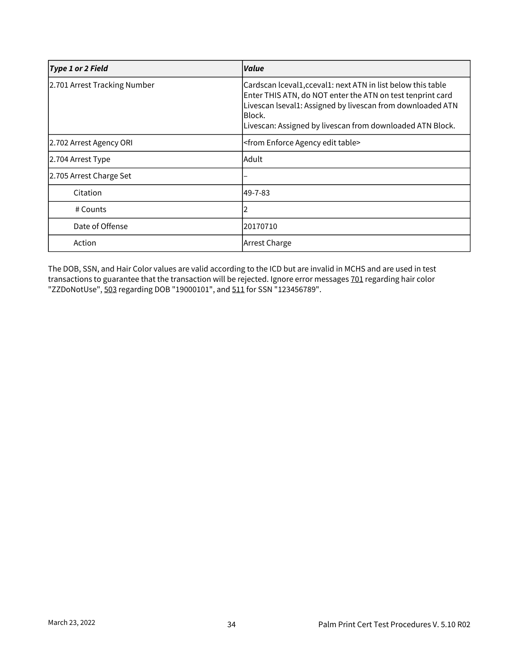| <b>Type 1 or 2 Field</b>     | Value                                                                                                                                                                                                                                                           |
|------------------------------|-----------------------------------------------------------------------------------------------------------------------------------------------------------------------------------------------------------------------------------------------------------------|
| 2.701 Arrest Tracking Number | Cardscan Iceval1, cceval1: next ATN in list below this table<br>Enter THIS ATN, do NOT enter the ATN on test tenprint card<br>Livescan Iseval1: Assigned by livescan from downloaded ATN<br>Block.<br>Livescan: Assigned by livescan from downloaded ATN Block. |
| 2.702 Arrest Agency ORI      | <from agency="" edit="" enforce="" table=""></from>                                                                                                                                                                                                             |
| 2.704 Arrest Type            | Adult                                                                                                                                                                                                                                                           |
| 2.705 Arrest Charge Set      |                                                                                                                                                                                                                                                                 |
| Citation                     | 49-7-83                                                                                                                                                                                                                                                         |
| # Counts                     |                                                                                                                                                                                                                                                                 |
| Date of Offense              | 20170710                                                                                                                                                                                                                                                        |
| Action                       | Arrest Charge                                                                                                                                                                                                                                                   |

The DOB, SSN, and Hair Color values are valid according to the ICD but are invalid in MCHS and are used in test transactions to guarantee that the transaction will be rejected. Ignore error messages 701 regarding hair color "ZZDoNotUse", 503 regarding DOB "19000101", and 511 for SSN "123456789".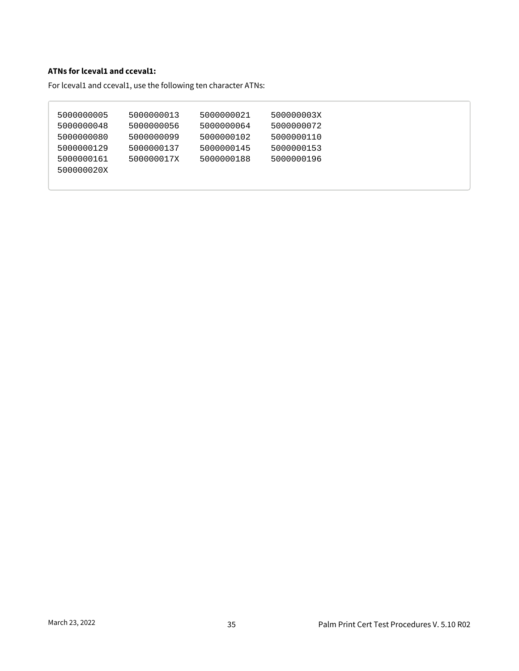#### **ATNs for lceval1 and cceval1:**

For lceval1 and cceval1, use the following ten character ATNs:

| 5000000005 | 5000000013 | 5000000021 | 500000003X |
|------------|------------|------------|------------|
| 5000000048 | 5000000056 | 5000000064 | 5000000072 |
| 5000000080 | 5000000099 | 5000000102 | 5000000110 |
| 5000000129 | 5000000137 | 5000000145 | 5000000153 |
| 5000000161 | 500000017X | 5000000188 | 5000000196 |
| 500000020X |            |            |            |
|            |            |            |            |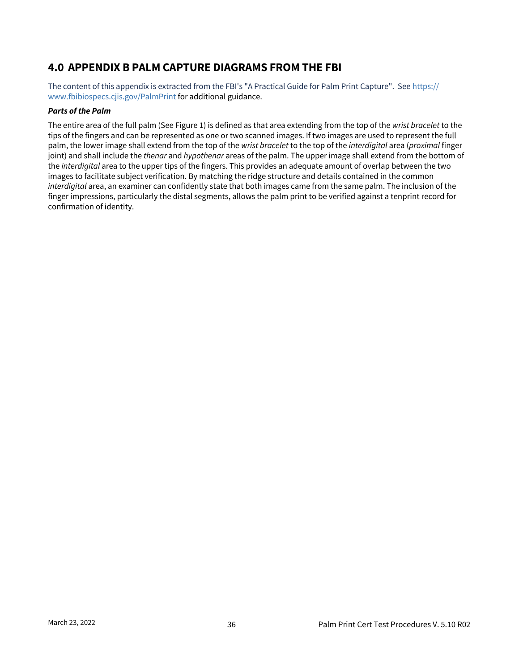### <span id="page-37-0"></span>**4.0 APPENDIX B PALM CAPTURE DIAGRAMS FROM THE FBI**

[The content of this appendix is extracted from the FBI's "A Practical Guide for Palm Print Capture". See](https://www.fbibiospecs.cjis.gov/PalmPrint) https:// www.fbibiospecs.cjis.gov/PalmPrint for additional guidance.

#### *Parts of the Palm*

The entire area of the full palm (See Figure 1) is defined as that area extending from the top of the *wrist bracelet* to the tips of the fingers and can be represented as one or two scanned images. If two images are used to represent the full palm, the lower image shall extend from the top of the *wrist bracelet* to the top of the *interdigital* area (*proximal* finger joint) and shall include the *thenar* and *hypothenar* areas of the palm. The upper image shall extend from the bottom of the *interdigital* area to the upper tips of the fingers. This provides an adequate amount of overlap between the two images to facilitate subject verification. By matching the ridge structure and details contained in the common *interdigital* area, an examiner can confidently state that both images came from the same palm. The inclusion of the finger impressions, particularly the distal segments, allows the palm print to be verified against a tenprint record for confirmation of identity.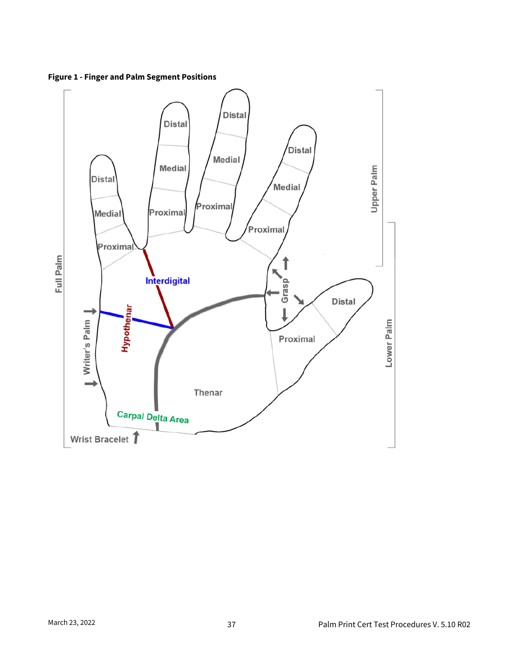

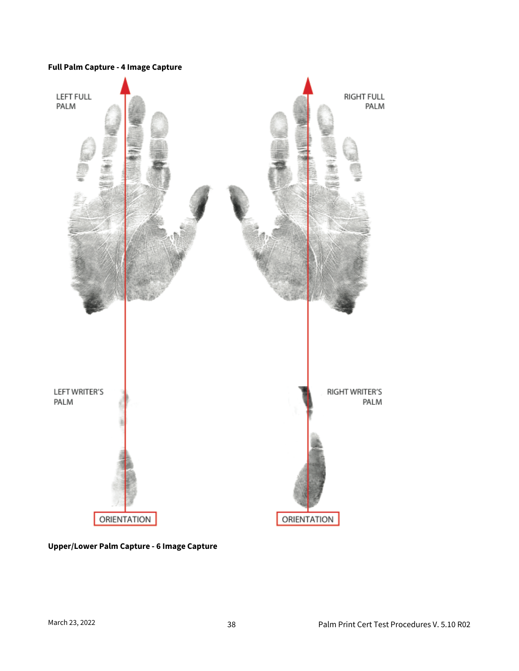#### **Full Palm Capture - 4 Image Capture**



**Upper/Lower Palm Capture - 6 Image Capture**